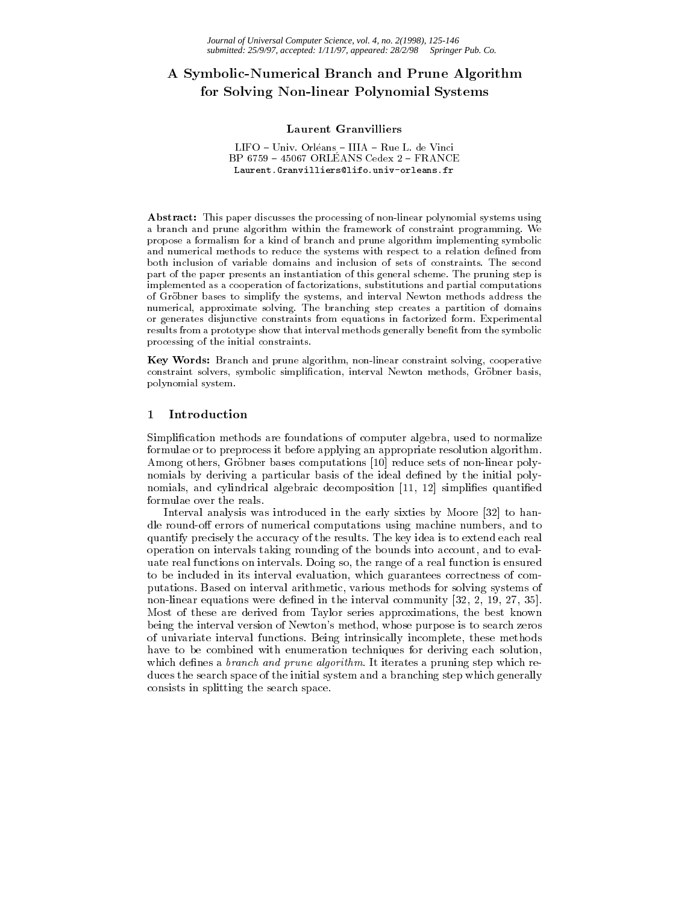# A Symbolic-Numerical Branch and Prune Algorithm for Solving Non-linear Polynomial Systems

### Laurent Granvilliers

LIFO - Univ. Orléans - IIIA - Rue L. de Vinci BP 6759  $-$  45067 ORLÉANS Cedex 2  $-$  FRANCE Laurent.Granvilliers@lifo.univ-orleans.fr

Abstract: This paper discusses the processing of non-linear polynomial systems using a branch and prune algorithm within the framework of constraint programming. We propose a formalism for a kind of branch and prune algorithm implementing symbolic and numerical methods to reduce the systems with respect to a relation defined from both inclusion of variable domains and inclusion of sets of constraints. The second part of the paper presents an instantiation of this general scheme. The pruning step is implemented as a cooperation of factorizations, substitutions and partial computations of Grobner bases to simplify the systems, and interval Newton methods address the numerical, approximate solving. The branching step creates a partition of domains or generates disjunctive constraints from equations in factorized form. Experimental results from a prototype show that interval methods generally benefit from the symbolic processing of the initial constraints.

Key Words: Branch and prune algorithm, non-linear constraint solving, cooperative constraint solvers, symbolic simplication, interval Newton methods, Grobner basis, polynomial system.

### 1 Introduction

Simplication methods are foundations of computer algebra, used to normalize formulae or to preprocess it before applying an appropriate resolution algorithm. Among others, Gröbner bases computations [10] reduce sets of non-linear polynomials by deriving a particular basis of the ideal defined by the initial polynomials, and cylindrical algebraic decomposition [11, 12] simplifies quantified formulae over the reals.

Interval analysis was introduced in the early sixties by Moore [32] to handle round-off errors of numerical computations using machine numbers, and to quantify precisely the accuracy of the results. The key idea is to extend each real operation on intervals taking rounding of the bounds into account, and to evaluate real functions on intervals. Doing so, the range of a real function is ensured to be included in its interval evaluation, which guarantees correctness of com putations. Based on interval arithmetic, various methods for solving systems of non-linear equations were defined in the interval community [32, 2, 19, 27, 35]. Most of these are derived from Taylor series approximations, the best known being the interval version of Newton's method, whose purpose is to search zeros of univariate interval functions. Being intrinsically incomplete, these methods have to be combined with enumeration techniques for deriving each solution, which defines a *branch and prune algorithm*. It iterates a pruning step which reduces the search space of the initial system and a branching step which generally consists in splitting the search space.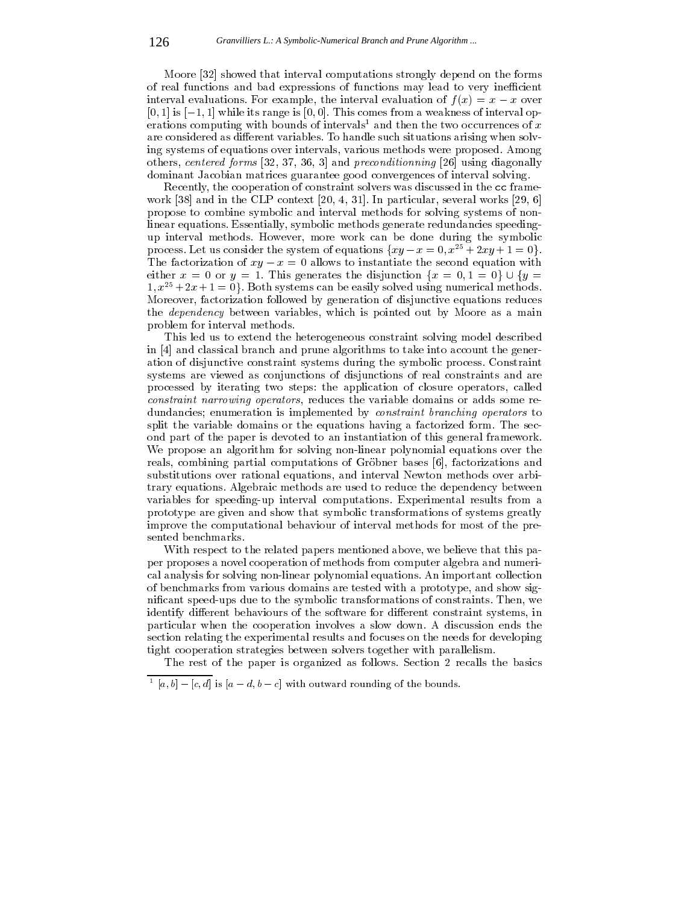Moore [32] showed that interval computations strongly depend on the forms of real functions and bad expressions of functions may lead to very inefficient interval evaluations. For example, the interval evaluation of  $f(x) = x - x$  over  $[0, 1]$  is  $[-1, 1]$  while its range is  $[0, 0]$ . This comes from a weakness of interval operations computing with bounds of intervals<sup>1</sup> and then the two occurrences of x are considered as different variables. To handle such situations arising when solving systems of equations over intervals, various methods were proposed. Among others, centered forms [32, 37, 36, 3] and preconditionning [26] using diagonally dominant Jacobian matrices guarantee good convergences of interval solving.

Recently, the cooperation of constraint solvers was discussed in the cc frame work [38] and in the CLP context [20, 4, 31]. In particular, several works [29, 6] propose to combine symbolic and interval methods for solving systems of nonlinear equations. Essentially, symbolic methods generate redundancies speedingup interval methods. However, more work can be done during the symbolic process. Let us consider the system of equations  $\{xy - x = 0, x^{25} + 2xy + 1 = 0\}.$ The factorization of  $xy - x = 0$  allows to instantiate the second equation with either  $x = 0$  or  $y = 1$ . This generates the disjunction  $\{x = 0, 1 = 0\} \cup \{y =$  $1, x^{25} + 2x + 1 = 0$ . Both systems can be easily solved using numerical methods. Moreover, factorization followed by generation of disjunctive equations reduces the *dependency* between variables, which is pointed out by Moore as a main problem for interval methods.

This led us to extend the heterogeneous constraint solving model described in [4] and classical branch and prune algorithms to take into account the generation of disjunctive constraint systems during the symbolic process. Constraint systems are viewed as conjunctions of disjunctions of real constraints and are processed by iterating two steps: the application of closure operators, called constraint narrowing operators, reduces the variable domains or adds some redundancies; enumeration is implemented by constraint branching operators to split the variable domains or the equations having a factorized form. The sec ond part of the paper is devoted to an instantiation of this general framework. We propose an algorithm for solving non-linear polynomial equations over the reals, combining partial computations of Grobner bases [6], factorizations and substitutions over rational equations, and interval Newton methods over arbitrary equations. Algebraic methods are used to reduce the dependency between variables for speeding-up interval computations. Experimental results from a prototype are given and show that symbolic transformations of systems greatly improve the computational behaviour of interval methods for most of the pre sented benchmarks.

With respect to the related papers mentioned above, we believe that this paper proposes a novel cooperation of methods from computer algebra and numerical analysis for solving non-linear polynomial equations. An important collection of benchmarks from various domains are tested with a prototype, and show signicant speed-ups due to the symbolic transformations of constraints. Then, we identify different behaviours of the software for different constraint systems, in particular when the cooperation involves a slow down. A discussion ends the section relating the experimental results and focuses on the needs for developing tight cooperation strategies between solvers together with parallelism.

The rest of the paper is organized as follows. Section 2 recalls the basics

 $\lceil \alpha, \beta \rceil - \lceil c, d \rceil$  is  $\lceil a - d, b - c \rceil$  with outward rounding of the bounds.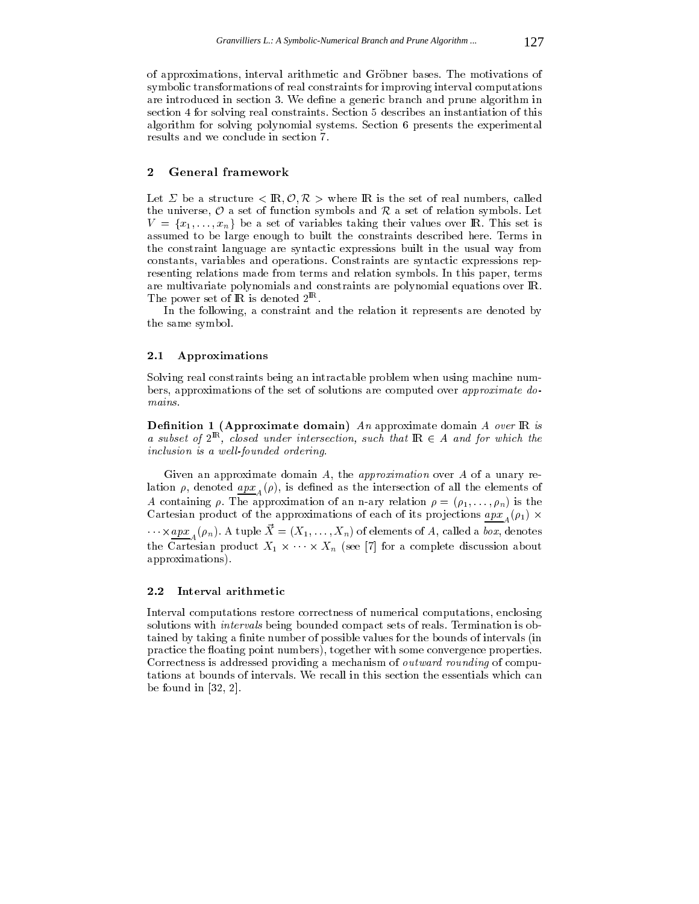of approximations, interval arithmetic and Grobner bases. The motivations of symbolic transformations of real constraints for improving interval computations are introduced in section 3. We define a generic branch and prune algorithm in section 4 for solving real constraints. Section 5 describes an instantiation of this algorithm for solving polynomial systems. Section 6 presents the experimental results and we conclude in section 7.

### 2 General framework

Let  $\Sigma$  be a structure  $\langle \mathbb{R}, \mathcal{O}, \mathcal{R} \rangle$  where  $\mathbb{R}$  is the set of real numbers, called the universe,  $\mathcal O$  a set of function symbols and  $\mathcal R$  a set of relation symbols. Let  $V = \{x_1, \ldots, x_n\}$  be a set of variables taking their values over IR. This set is assumed to be large enough to built the constraints described here. Terms in the constraint language are syntactic expressions built in the usual way from constants, variables and operations. Constraints are syntactic expressions rep resenting relations made from terms and relation symbols. In this paper, terms are multivariate polynomials and constraints are polynomial equations over IR. The power set of  $\mathbb{R}$  is denoted  $2^{-n}$ .

In the following, a constraint and the relation it represents are denoted by the same symbol.

### 2.1 Approximations

Solving real constraints being an intractable problem when using machine num bers, approximations of the set of solutions are computed over approximate do $max$ 

**Definition 1 (Approximate domain)** An approximate domain A over  $\mathbb R$  is a subset of  $2^{-n}$ , closed under intersection, such that  $\text{I\!R}\in A$  and for which the inclusion is a well-founded ordering.

Given an approximate domain  $A$ , the *approximation* over  $A$  of a unary relation  $\rho$ , denoted  $\frac{ap}{\rho}(\rho)$ , is defined as the intersection of all the elements of A containing  $\rho$ . The approximation of an n-ary relation  $\rho = (\rho_1,\ldots,\rho_n)$  is the Cartesian product of the approximations of each of its projections  $apx_A(\rho_1) \times$  $\cdots \wedge \underline{u} \underline{p} \underline{\nu}_A(p_n)$ . A tuple  $\Lambda = (\Lambda_1, \ldots, \Lambda_n)$  of elements of  $\Lambda$ , called a *box*, denotes . It can complete discussion  $\mathbf{r}_1$  ,  $\mathbf{r}_2$  is a complete discussion about  $\mathbf{r}_1$  ,  $\mathbf{r}_2$ approximations).

### $2.2$ 1. Interval arithmetic

Interval computations restore correctness of numerical computations, enclosing solutions with intervals being bounded compact sets of reals. Termination is obtained by taking a finite number of possible values for the bounds of intervals (in practice the floating point numbers), together with some convergence properties. Correctness is addressed providing a mechanism of outward rounding of computations at bounds of intervals. We recall in this section the essentials which can be found in  $[32, 2]$ .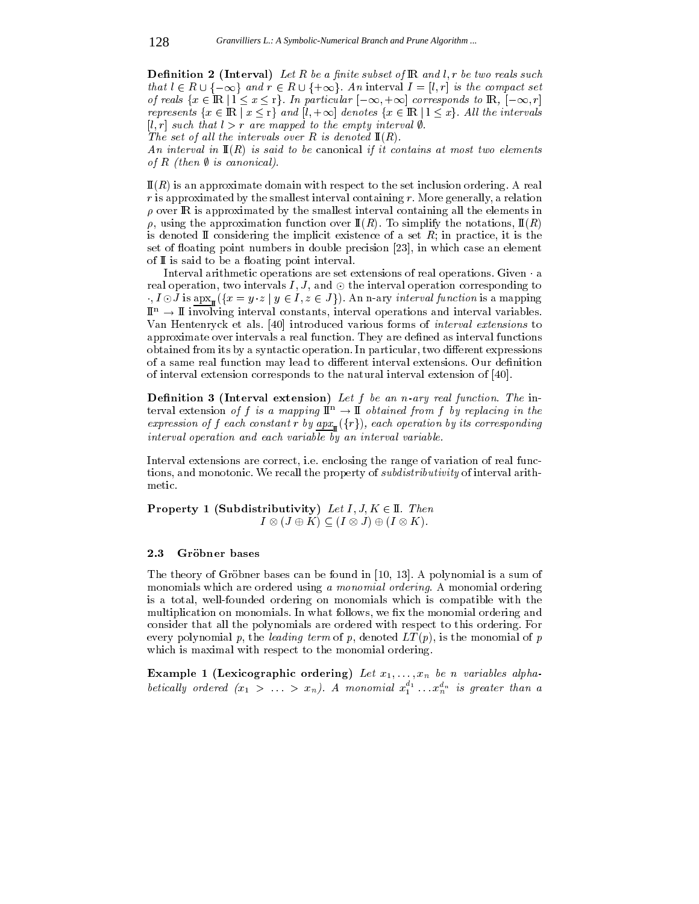**Definition 2 (Interval)** Let R be a finite subset of  $\mathbb{R}$  and  $l, r$  be two reals such that  $l \in R \cup \{-\infty\}$  and  $r \in R \cup \{+\infty\}$ . An interval  $I = [l, r]$  is the compact set of reals  $\{x \in \mathbb{R} \mid l \le x \le r\}$ . In particular  $[-\infty, +\infty]$  corresponds to  $\mathbb{R}, [-\infty, r]$ represents  $\{x \in \mathbb{R} \mid x \leq r\}$  and  $[l, +\infty]$  denotes  $\{x \in \mathbb{R} \mid l \leq x\}$ . All the intervals  $[l, r]$  such that  $l > r$  are mapped to the empty interval  $\emptyset$ .

The set of all the intervals over R is denoted  $\mathbb{I}(R)$ .

An interval in  $I\mathbb{I}(R)$  is said to be canonical if it contains at most two elements of  $R$  (then  $\emptyset$  is canonical).

 $\mathbb{I}(R)$  is an approximate domain with respect to the set inclusion ordering. A real r is approximated by the smallest interval containing r. More generally, a relation  $\rho$  over IR is approximated by the smallest interval containing all the elements in  $\rho$ , using the approximation function over  $\mathbb{I}(R)$ . To simplify the notations,  $\mathbb{I}(R)$ is denoted II considering the implicit existence of a set  $R$ ; in practice, it is the set of floating point numbers in double precision  $[23]$ , in which case an element of I is said to be a floating point interval.

Interval arithmetic operations are set extensions of real operations. Given a real operation, two intervals  $I, J$ , and  $\odot$  the interval operation corresponding to  $\mathcal{Y}$  is applied to the state  $\mathcal{Y}$  is a mapping interval function is a mapping interval function is a mapping in  $\mathcal{Y}$  $\mathbb{I}^n \to \mathbb{I}$  involving interval constants, interval operations and interval variables. Van Hentenryck et als. [40] introduced various forms of interval extensions to approximate over intervals a real function. They are defined as interval functions obtained from its by a syntactic operation. In particular, two different expressions of a same real function may lead to different interval extensions. Our definition of interval extension corresponds to the natural interval extension of [40].

**Definition 3 (Interval extension)** Let  $f$  be an  $n$ -ary real function. The interval extension of f is a mapping  $\mathbb{I}^n \to \mathbb{I}$  obtained from f by replacing in the expression of f each constant r by  $ap_{\pi}(\{r\})$ , each operation by its corresponding interval operation and each variable  $b\bar{y}$  an interval variable.

Interval extensions are correct, i.e. enclosing the range of variation of real functions, and monotonic. We recall the property of subdistributivity of interval arithmetic.

Property 1 (Subdistributivity) Let  $I, J, K \in \mathbb{I}$ . Then I (J K) (I J ) (I K).

### 2.3 Gröbner bases

The theory of Gröbner bases can be found in [10, 13]. A polynomial is a sum of monomials which are ordered using a monomial ordering. A monomial ordering is a total, well-founded ordering on monomials which is compatible with the multiplication on monomials. In what follows, we fix the monomial ordering and consider that all the polynomials are ordered with respect to this ordering. For every polynomial p, the leading term of p, denoted  $LT(p)$ , is the monomial of p which is maximal with respect to the monomial ordering.

Example 1 (Lexicographic ordering) Let  $x_1, \ldots, x_n$  be n variables alphabetically ordered  $(x_1 > \ldots > x_n)$ . A monomial  $x_1^{n_1} \ldots x_n^{n_n}$  is greater than a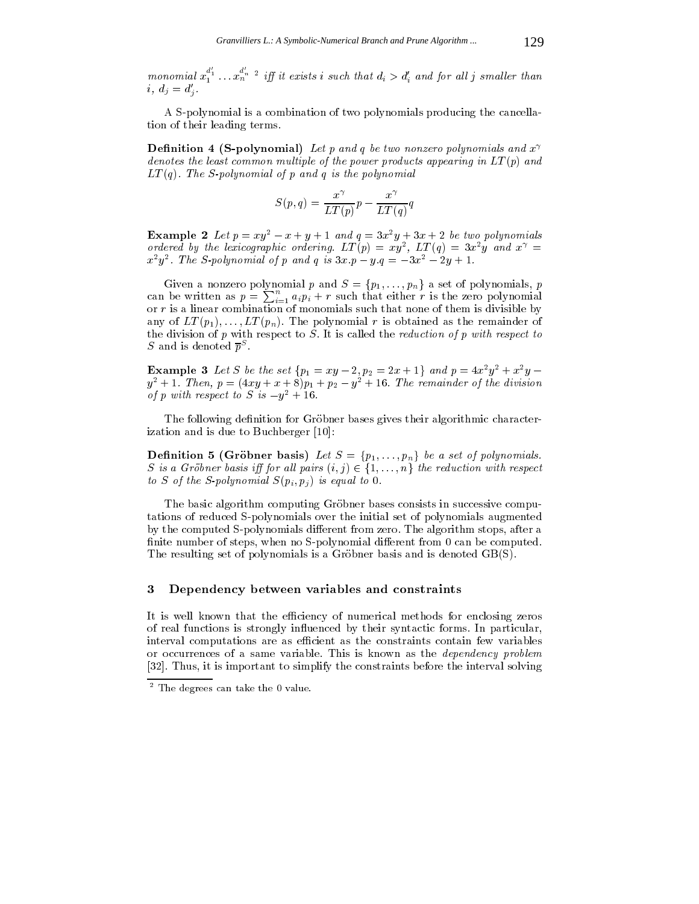monomial  $x_1^{a_1} \ldots x_n^{a_n}$  <sup>2</sup> iff it exists i such that  $d_i > d'_i$  and for all j smaller than  $i, d_j = d'_j.$ 

A S-polynomial is a combination of two polynomials producing the cancellation of their leading terms.

**Definition 4 (S-polynomial)** Let p and q be two nonzero polynomials and  $x^{\gamma}$ denotes the least common multiple of the power products appearing in  $LT(p)$  and  $LT(q)$ . The S-polynomial of p and q is the polynomial

$$
S(p,q) = \frac{x^{\gamma}}{LT(p)}p - \frac{x^{\gamma}}{LT(q)}q
$$

**Example 2** Let  $p = xy - x + y + 1$  and  $q = 3x - y + 3x + 2$  be two polynomials ordered by the lexicographic ordering,  $LI$  (p)  $=$  xy $\overline{u}$ ,  $LI$  (g)  $=$  3x $\overline{u}$  and  $x^+$   $=$  $x^2y^2$ . The S-polynomial of p and q is  $5x^2$  p  $-y^2$  q  $\equiv -5x^2 - 2y + 1$ .

can be written as  $p = \sum_{i=1}^{n} a_i p_i + r$  such that either r is the zero polynomial or r is a linear combination of monomials such that none of them is divisible by any of  $LT(p_1), \ldots, LT(p_n)$ . The polynomial r is obtained as the remainder of the division of  $p$  with respect to  $S$ . It is called the *reduction of*  $p$  with respect to  $\mathcal{S}$  and is denoted  $p^-$  .

**Example 5** Let S be the set  $\{p_1 = xy - z, p_2 = zx + 1\}$  and  $p = 4x^2y^2 + x^2y - 1$  $y^2 + 1$ . Then,  $p = (4xy + x + 8)p_1 + p_2 - y_2 + 16$ . The remainder of the division of p with respect to  $S$  is  $-y^2 + 10$ .

The following definition for Gröbner bases gives their algorithmic characterization and is due to Buchberger [10]:

**Definition 5 (Gröbner basis)** Let  $S = \{p_1, \ldots, p_n\}$  be a set of polynomials. S is a Gröbner basis iff for all pairs  $(i, j) \in \{1, \ldots, n\}$  the reduction with respect to S of the S-polynomial  $S(p_i, p_j)$  is equal to 0.

The basic algorithm computing Gröbner bases consists in successive computations of reduced S-polynomials over the initial set of polynomials augmented by the computed S-polynomials different from zero. The algorithm stops, after a finite number of steps, when no S-polynomial different from 0 can be computed. The resulting set of polynomials is a Gröbner basis and is denoted GB(S).

### 3 Dependency between variables and constraints

It is well known that the efficiency of numerical methods for enclosing zeros of real functions is strongly in
uenced by their syntactic forms. In particular, interval computations are as efficient as the constraints contain few variables or occurrences of a same variable. This is known as the dependency problem [32]. Thus, it is important to simplify the constraints before the interval solving

<sup>2</sup> The degrees can take the 0 value.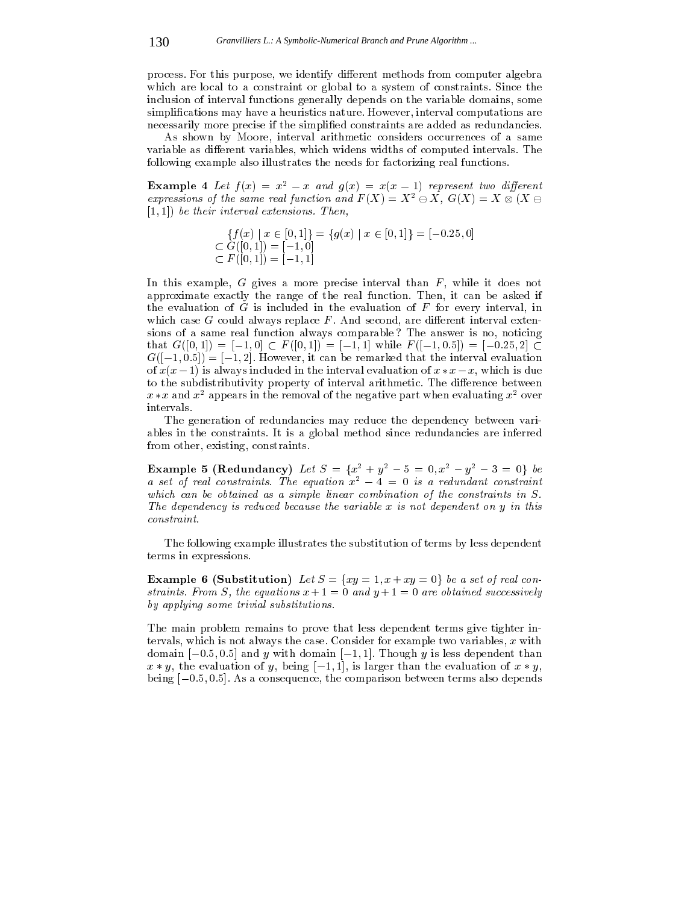process. For this purpose, we identify different methods from computer algebra which are local to a constraint or global to a system of constraints. Since the inclusion of interval functions generally depends on the variable domains, some simplications may have a heuristics nature. However, interval computations are necessarily more precise if the simplified constraints are added as redundancies.

As shown by Moore, interval arithmetic considers occurrences of a same variable as different variables, which widens widths of computed intervals. The following example also illustrates the needs for factorizing real functions.

**Example 4** Let  $f(x) = x^2 - x$  and  $g(x) = x(x - 1)$  represent two different expressions of the same real function and  $\Gamma(\Lambda) \equiv \Lambda^- \oplus \Lambda$ ,  $\Theta(\Lambda) \equiv \Lambda^- \otimes (\Lambda^- \oplus$  $[1, 1]$ ) be their interval extensions. Then,

> fraction of the fact that the fact that the form of the form of the following the following the following the f G([0; 1]) = [1; 0] F ([0; 1]) = [1; 1]

In this example,  $G$  gives a more precise interval than  $F$ , while it does not approximate exactly the range of the real function. Then, it can be asked if the evaluation of  $G$  is included in the evaluation of  $F$  for every interval, in which case  $G$  could always replace  $F$ . And second, are different interval extensions of a same real function always comparable ? The answer is no, noticing that  $G([0, 1]) = [-1, 0] \subset F([0, 1]) = [-1, 1]$  while  $F([-1, 0.5]) = [-0.25, 2] \subset$  $G([-1, 0.5]) = [-1, 2]$ . However, it can be remarked that the interval evaluation of  $x(x - 1)$  is always included in the interval evaluation of  $x * x - x$ , which is due to the subdistributivity property of interval arithmetic. The difference between  $x * x$  and  $x^2$  appears in the removal of the negative part when evaluating  $x^2$  over intervals.

The generation of redundancies may reduce the dependency between variables in the constraints. It is a global method since redundancies are inferred from other, existing, constraints.

Example 5 (Redundancy) Let  $S = \{x^2 + y^2 - 5 = 0, x^2 - y^2 - 3 = 0\}$  be a set of real constraints. The equation  $x^2 - 4 = 0$  is a redundant constraint which can be obtained as a simple linear combination of the constraints in S. The dependency is reduced because the variable  $x$  is not dependent on  $y$  in this constraint.

The following example illustrates the substitution of terms by less dependent terms in expressions.

**Example 6 (Substitution)** Let  $S = \{xy = 1, x + xy = 0\}$  be a set of real constraints. From S, the equations  $x + 1 = 0$  and  $y + 1 = 0$  are obtained successively by applying some trivial substitutions.

The main problem remains to prove that less dependent terms give tighter intervals, which is not always the case. Consider for example two variables,  $x$  with domain  $[-0.5, 0.5]$  and y with domain  $[-1, 1]$ . Though y is less dependent than  $x * y$ , the evaluation of y, being  $[-1, 1]$ , is larger than the evaluation of  $x * y$ , being  $[-0.5, 0.5]$ . As a consequence, the comparison between terms also depends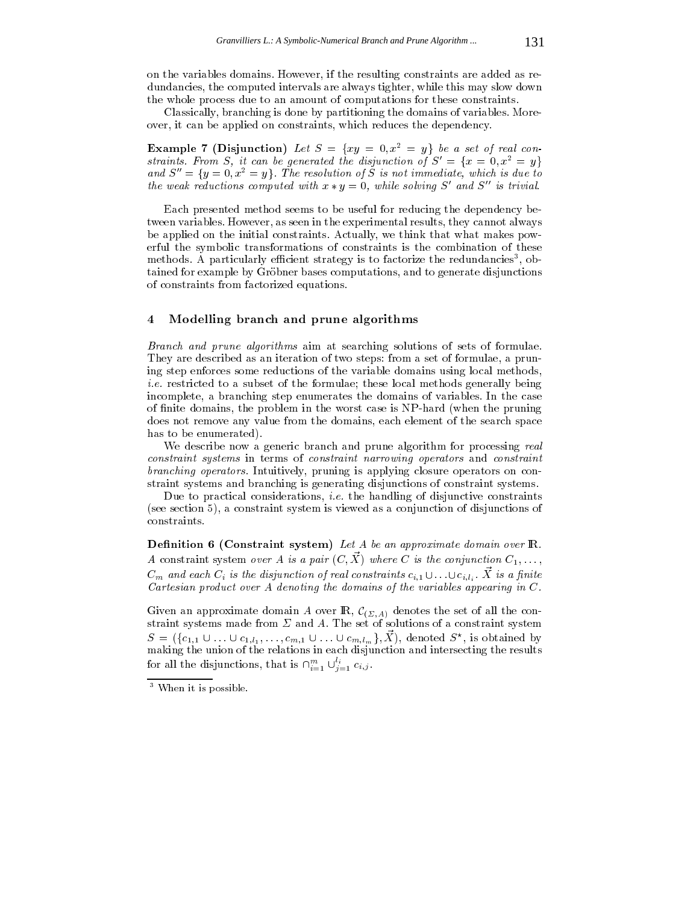on the variables domains. However, if the resulting constraints are added as redundancies, the computed intervals are always tighter, while this may slow down the whole process due to an amount of computations for these constraints.

Classically, branching is done by partitioning the domains of variables. More over, it can be applied on constraints, which reduces the dependency.

**Example 7 (Disjunction)** Let  $S = \{xy = 0, x = y\}$  be a set of real constraints. From  $S$ , it can be generated the atsjunction  $\phi$   $S = \{x = 0, x^2 = y\}$ and  $S'' = \{y = 0, x^2 = y\}$ . The resolution of S is not immediate, which is due to the weak reductions computed with  $x * y = 0$ , while solving S' and S'' is trivial.

Each presented method seems to be useful for reducing the dependency between variables. However, as seen in the experimental results, they cannot always be applied on the initial constraints. Actually, we think that what makes pow erful the symbolic transformations of constraints is the combination of these  $m$ ethods. A particularly emiclent strategy is to factorize the redundancies , ob-  $\,$ tained for example by Gröbner bases computations, and to generate disjunctions of constraints from factorized equations.

### 4 Modelling branch and prune algorithms

Branch and prune algorithms aim at searching solutions of sets of formulae. They are described as an iteration of two steps: from a set of formulae, a pruning step enforces some reductions of the variable domains using local methods, i.e. restricted to a subset of the formulae; these local methods generally being incomplete, a branching step enumerates the domains of variables. In the case of finite domains, the problem in the worst case is NP-hard (when the pruning does not remove any value from the domains, each element of the search space has to be enumerated).

We describe now a generic branch and prune algorithm for processing real constraint systems in terms of constraint narrowing operators and constraint branching operators. Intuitively, pruning is applying closure operators on con straint systems and branching is generating disjunctions of constraint systems.

Due to practical considerations, *i.e.* the handling of disjunctive constraints (see section 5), a constraint system is viewed as a conjunction of disjunctions of constraints.

**Definition 6 (Constraint system)** Let  $A$  be an approximate domain over  $\mathbb{R}$ . A constraint system over A is a pair  $(C, \vec{X})$  where C is the conjunction  $C_1, \ldots;$  $C_m$  and each  $C_l$  is the disjunction of real constraints  $c_{i,1} \cup \ldots \cup c_{i,l_i}$ . A is a jinite Cartesian product over A denoting the domains of the variables appearing in C.

Given an approximate domain A over IR, C( $\omega_{\rm{AB}}$  and set of all the set of all the set of all the set straint systems made from and A. The set of solutions of a constraint system  $S = (\{c_{1,1} \cup \ldots \cup c_{1,l_1}, \ldots, c_{m,1} \cup \ldots \cup c_{m,l_m}\}, \lambda)$ , denoted  $S^{\sim}$ , is obtained by making the union of the relations in each disjunction and intersecting the results for all the disjunctions, that is  $\cup_{i=1}^\infty \cup_{j=1}^{\infty} c_{i,j}$  .

<sup>3</sup> When it is possible.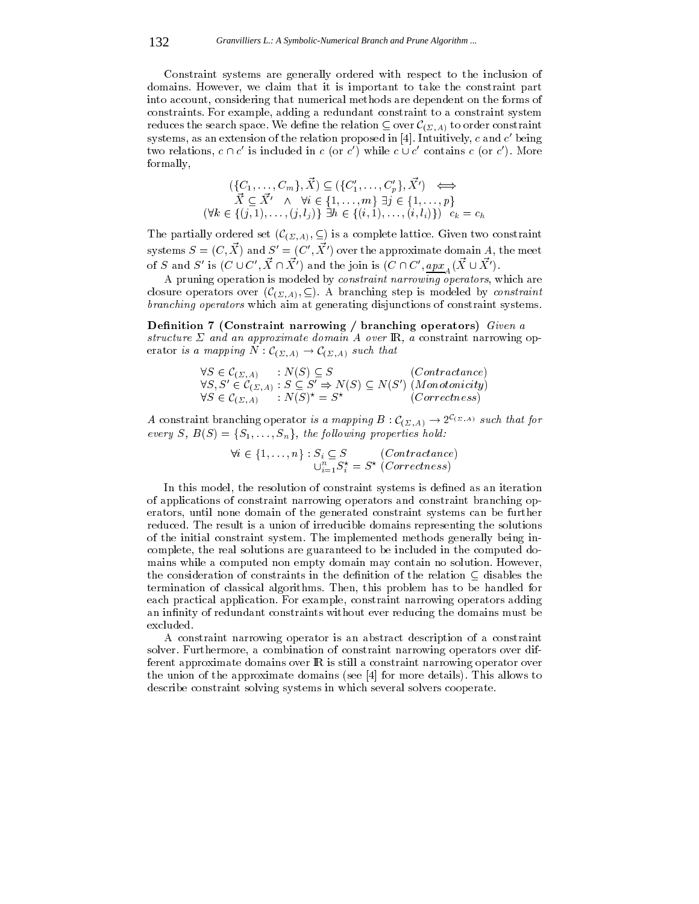Constraint systems are generally ordered with respect to the inclusion of domains. However, we claim that it is important to take the constraint part into account, considering that numerical methods are dependent on the forms of constraints. For example, adding a redundant constraint to a constraint system reduces the search space. We define the relation  $\subseteq$  over  $\mathcal{C}_{(\Sigma,A)}$  to order constraint systems, as an extension of the relation proposed in  $|4|$ . Intuitively,  $c$  and  $c$  -being  $\,$ two relations,  $c \sqcap c$  is included in  $c$  (or  $c$  ) while  $c \cup c$  contains  $c$  (or  $c$  ). More formally,

$$
(\{C_1, \ldots, C_m\}, \vec{X}) \subseteq (\{C'_1, \ldots, C'_p\}, \vec{X'}) \iff
$$
  

$$
\vec{X} \subseteq \vec{X'} \land \forall i \in \{1, \ldots, m\} \exists j \in \{1, \ldots, p\}
$$
  

$$
(\forall k \in \{(j, 1), \ldots, (j, l_j)\} \exists h \in \{(i, 1), \ldots, (i, l_i)\}) \ c_k = c_h
$$

The partially ordered set  $(C_{(\Sigma,A)}, \subseteq)$  is a complete lattice. Given two constraint systems  $S = (C, X)$  and  $S = (C, X)$  over the approximate domain  $A$ , the meet of S and S' is  $(C \cup C', \vec{X} \cap \vec{X'})$  and the join is  $(C \cap C', apx_A(\vec{X} \cup \vec{X'}).$ 

A pruning operation is modeled by *constraint narrowing operators*, which are closure operators over  $(C_{(\Sigma,A)}, \subseteq)$ . A branching step is modeled by *constraint* branching operators which aim at generating disjunctions of constraint systems.

Definition 7 (Constraint narrowing / branching operators) Given a structure  $\Sigma$  and an approximate domain A over  $\mathbb{R}$ , a constraint narrowing operator is a mapping  $N : \mathcal{C}_{(\Sigma,A)} \to \mathcal{C}_{(\Sigma,A)}$  such that

$$
\forall S \in \mathcal{C}_{(\Sigma, A)} : N(S) \subseteq S \qquad (Contractance)
$$
  
\n
$$
\forall S, S' \in \mathcal{C}_{(\Sigma, A)} : S \subseteq S' \Rightarrow N(S) \subseteq N(S') \quad (Monotonicity)
$$
  
\n
$$
\forall S \in \mathcal{C}_{(\Sigma, A)} : N(S)^* = S^* \qquad (Correctness)
$$

A constraint branching operator is a mapping  $B: C_{(\Sigma,A)} \to 2^{\mathcal{C}_{(\Sigma,A)}}$  such that for every  $S, B(S) = \{S_1, \ldots, S_n\}$ , the following properties hold:

$$
\forall i \in \{1, \ldots, n\} : S_i \subseteq S \qquad (Contractance)
$$
  

$$
\cup_{i=1}^{n} S_i^{\star} = S^{\star} (Correctness)
$$

In this model, the resolution of constraint systems is dened as an iteration of applications of constraint narrowing operators and constraint branching operators, until none domain of the generated constraint systems can be further reduced. The result is a union of irreducible domains representing the solutions of the initial constraint system. The implemented methods generally being incomplete, the real solutions are guaranteed to be included in the computed domains while a computed non empty domain may contain no solution. However, the consideration of constraints in the definition of the relation  $\subseteq$  disables the termination of classical algorithms. Then, this problem has to be handled for each practical application. For example, constraint narrowing operators adding an infinity of redundant constraints without ever reducing the domains must be excluded.

A constraint narrowing operator is an abstract description of a constraint solver. Furthermore, a combination of constraint narrowing operators over different approximate domains over IR is still a constraint narrowing operator over the union of the approximate domains (see [4] for more details). This allows to describe constraint solving systems in which several solvers cooperate.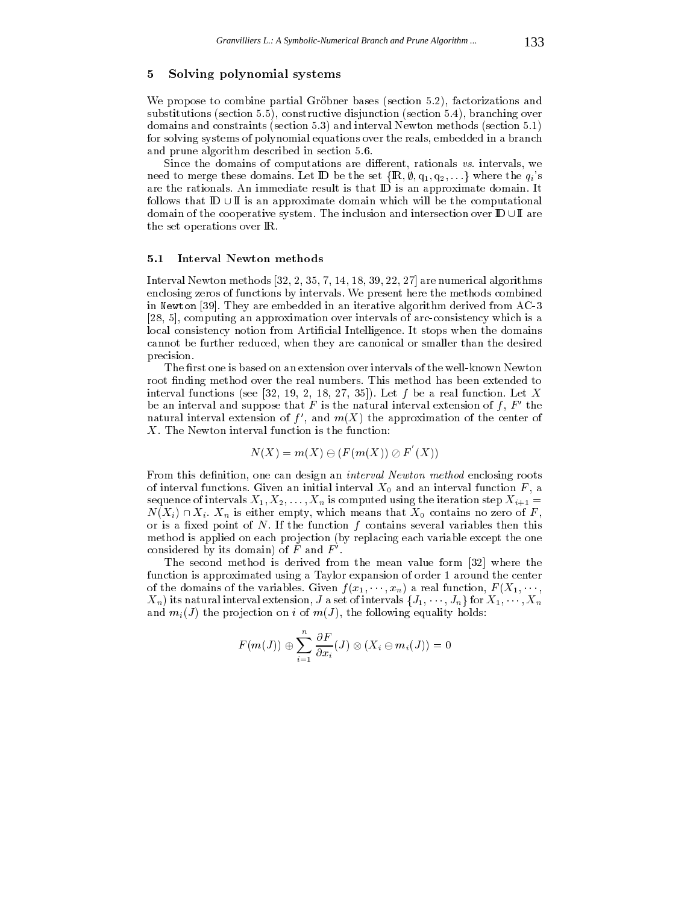### 5 Solving polynomial systems

We propose to combine partial Gröbner bases (section 5.2), factorizations and substitutions (section 5.5), constructive disjunction (section 5.4), branching over domains and constraints (section 5.3) and interval Newton methods (section 5.1) for solving systems of polynomial equations over the reals, embedded in a branch and prune algorithm described in section 5.6.

Since the domains of computations are different, rationals vs. intervals, we need to merge these domains. Let **ID** be the set  $\{ \mathbb{R}, \emptyset, q_1, q_2, \ldots \}$  where the  $q_i$ 's are the rationals. An immediate result is that ID is an approximate domain. It follows that  $\mathbb{D} \cup \mathbb{I}$  is an approximate domain which will be the computational domain of the cooperative system. The inclusion and intersection over  $\mathbb{D} \cup \mathbb{I}$  are the set operations over IR.

### 5.1 Interval Newton methods

Interval Newton methods [32, 2, 35, 7, 14, 18, 39, 22, 27] are numerical algorithms enclosing zeros of functions by intervals. We present here the methods combined in Newton [39]. They are embedded in an iterative algorithm derived from AC-3 [28, 5], computing an approximation over intervals of arc-consistency which is a local consistency notion from Artificial Intelligence. It stops when the domains cannot be further reduced, when they are canonical or smaller than the desired precision.

The first one is based on an extension over intervals of the well-known Newton root finding method over the real numbers. This method has been extended to interval functions (see [32, 19, 2, 18, 27, 35]). Let  $f$  be a real function. Let  $X$ be an interval and suppose that F is the natural interval extension of f,  $F'$  the natural interval extension of  $f'$ , and  $m(X)$  the approximation of the center of X. The Newton interval function is the function:

$$
N(X)=m(X)\ominus(F(m(X))\oslash F^{'}(X))
$$

From this definition, one can design an *interval Newton method* enclosing roots of interval functions. Given an initial interval  $X_0$  and an interval function  $F$ , a sequence of intervals  $X_1, X_2, \ldots, X_n$  is computed using the iteration step  $X_{i+1} =$  $N(X_i) \cap X_i$ .  $X_n$  is either empty, which means that  $X_0$  contains no zero of F, or is a fixed point of  $N$ . If the function  $f$  contains several variables then this method is applied on each projection (by replacing each variable except the one considered by its domain) of F and  $F'$ .

The second method is derived from the mean value form [32] where the function is approximated using a Taylor expansion of order 1 around the center of the domains of the variables. Given  $f(x_1, \dots, x_n)$  a real function,  $F(X_1, \dots, X_n)$  $X_n$ ) its natural interval extension, J a set of intervals  $\{J_1, \dots, J_n\}$  for  $X_1, \dots, X_n$ and  $m_i(J)$  the projection on i of  $m(J)$ , the following equality holds:

$$
F(m(J)) \oplus \sum_{i=1}^n \frac{\partial F}{\partial x_i}(J) \otimes (X_i \ominus m_i(J)) = 0
$$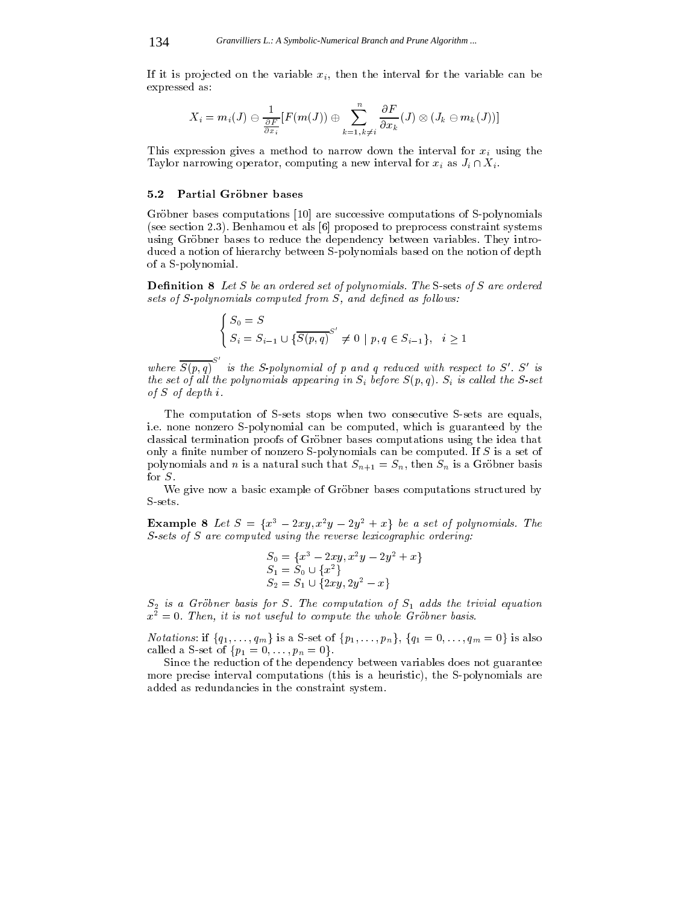If it is projected on the variable  $x_i$ , then the interval for the variable can be expressed as:

$$
X_i = m_i(J) \ominus \frac{1}{\frac{\partial F}{\partial x_i}}[F(m(J)) \oplus \sum_{k=1, k\neq i}^{n} \frac{\partial F}{\partial x_k}(J) \otimes (J_k \ominus m_k(J))]
$$

This expression gives a method to narrow down the interval for  $x_i$  using the Taylor narrowing operator, computing a new interval for  $x_i$  as  $J_i \cap X_i$ .

### 5.2 Partial Gröbner bases

(

Gröbner bases computations [10] are successive computations of S-polynomials (see section 2.3). Benhamou et als [6] proposed to preprocess constraint systems using Gröbner bases to reduce the dependency between variables. They introduced a notion of hierarchy between S-polynomials based on the notion of depth of a S-polynomial.

**Definition 8** Let S be an ordered set of polynomials. The S-sets of S are ordered sets of  $S$ -polynomials computed from  $S$ , and defined as follows:

$$
\begin{cases} S_0 = S \\ S_i = S_{i-1} \cup \{ \overline{S(p,q)}^{S'} \neq 0 \mid p,q \in S_{i-1} \}, & i \ge 1 \end{cases}
$$

where  $\overline{S(p,q)}^{S'}$  is the S-polynomial of p and q reduced with respect to S'. S' is the set of all the polynomials appearing in  $S_i$  before  $S(p,q)$ .  $S_i$  is called the S-set of  $S$  of depth  $i$ .

The computation of S-sets stops when two consecutive S-sets are equals, i.e. none nonzero S-polynomial can be computed, which isguaranteed by the classical termination proofs of Grobner bases computations using the idea that only a finite number of nonzero S-polynomials can be computed. If  $S$  is a set of polynomials and *n* is a natural such that  $S_{n+1} = S_n$ , then  $S_n$  is a Gröbner basis for S.

We give now a basic example of Gröbner bases computations structured by S-sets.

**Example 8** Let  $S = \{x^3 - 2xy, x^2y - 2y^2 + x\}$  be a set of polynomials. The S-sets of S are computed using the reverse lexicographic ordering:

$$
S_0 = \{x^3 - 2xy, x^2y - 2y^2 + x\}
$$
  
\n
$$
S_1 = S_0 \cup \{x^2\}
$$
  
\n
$$
S_2 = S_1 \cup \{2xy, 2y^2 - x\}
$$

 $S_2$  is a Gröbner basis for S. The computation of  $S_1$  adds the trivial equation  $x^2 = 0$ . Then, it is not useful to compute the whole Gröbner basis.

*Notations*: if  $\{q_1,\ldots,q_m\}$  is a S-set of  $\{p_1,\ldots,p_n\}$ ,  $\{q_1 = 0,\ldots,q_m = 0\}$  is also called a S-set of  $\{p_1 = 0,\ldots,p_n = 0\}.$ 

Since the reduction of the dependency between variables does not guarantee more precise interval computations (this is a heuristic), the S-polynomials are added as redundancies in the constraint system.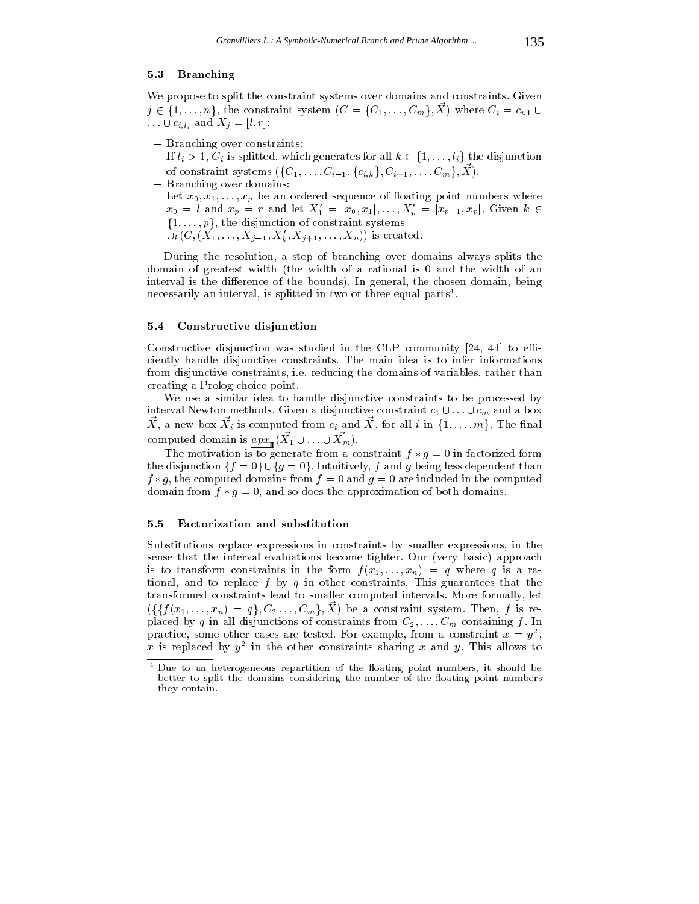### 5.3 Branching

We propose to split the constraint systems over domains and constraints. Given  $j \in \{1, \ldots, n\}$ , the constraint system  $(\mathcal{C} = \{C_1, \ldots, C_m\}, \Lambda)$  where  $C_i = c_{i,1}$ ...  $\cup c_{i,l_i}$  and  $X_j = [l, r]$ :

{ Branching over constraints:

If  $l_i > 1, C_i$  is splitted, which generates for all  $k \in \{1,\ldots,l_i\}$  the disjunction of constraint systems  $(\{C_1,\ldots,C_{i-1},\{c_{i,k}\},C_{i+1},\ldots,C_m\},\vec{X})$ .

 ${\rm -}$  Branching over domains:  $x_0 = \tilde{l}$  and  $x_p = r$  and let  $X_1' = [x_0, x_1], \ldots, X_p' = [x_{p-1}, x_p]$ . Given  $k \in \mathbb{Z}$  $\bigcup_{k} (C, (X_1, \ldots, X_{j-1}, X_k', X_{j+1}, \ldots, X_n))$  is created.

During the resolution, a step of branching over domains always splits the domain of greatest width (the width of a rational is 0 and the width of an interval is the difference of the bounds). In general, the chosen domain, being necessarily an interval, is splitted in two or three equal parts4 .

### 5.4 Constructive disjunction

Constructive disjunction was studied in the CLP community  $[24, 41]$  to efficiently handle disjunctive constraints. The main idea is to infer informations from disjunctive constraints, i.e. reducing the domains of variables, rather than creating a Prolog choice point.

We use a similar idea to handle disjunctive constraints to be processed by interval Newton methods. Given a disjunctive constraint  $c_1 \cup \ldots \cup c_m$  and a box  $\Lambda$ , a new box  $\Lambda$ <sub>i</sub> is computed from  $c_i$  and  $\Lambda$ , for an  $i$  in  $\{1,\ldots,m\}$ . The final computed domain is  $\underline{u p x}_{\text{I} \text{I}}(\Lambda_1 \cup \ldots \cup \Lambda_m)$ .

The motivation is to generate from a constraint  $f * g = 0$  in factorized form the disjunction  $\{f = 0\} \cup \{g = 0\}$ . Intuitively, f and g being less dependent than  $f * g$ , the computed domains from  $f = 0$  and  $g = 0$  are included in the computed domain from  $f * g = 0$ , and so does the approximation of both domains.

#### 5.5 5.5 Factorization and substitution

Substitutions replace expressions in constraints by smaller expressions, in the sense that the interval evaluations become tighter. Our (very basic) approach is to transform constraints in the form  $f(x_1,...,x_n) = q$  where q is a rational, and to replace  $f$  by  $q$  in other constraints. This guarantees that the transformed constraints lead to smaller computed intervals. More formally, let  $(\{\{f(x_1,\ldots,x_n) = q\}, C_2 \ldots, C_m\}, \vec{X})$  be a constraint system. Then, f is replaced by q in all disjunctions of constraints from  $C_2$ ,...,  $C_m$  containing f. In practice, some other cases are tested. For example, from a constraint  $x = y^2$ ,  $x$  is replaced by  $y^-$  in the other constraints sharing  $x$  and  $y$ . This allows to

to Due to an heterogeneous repartition of the floating point numbers, it should be better to split the domains considering the number of the floating point numbers they contain.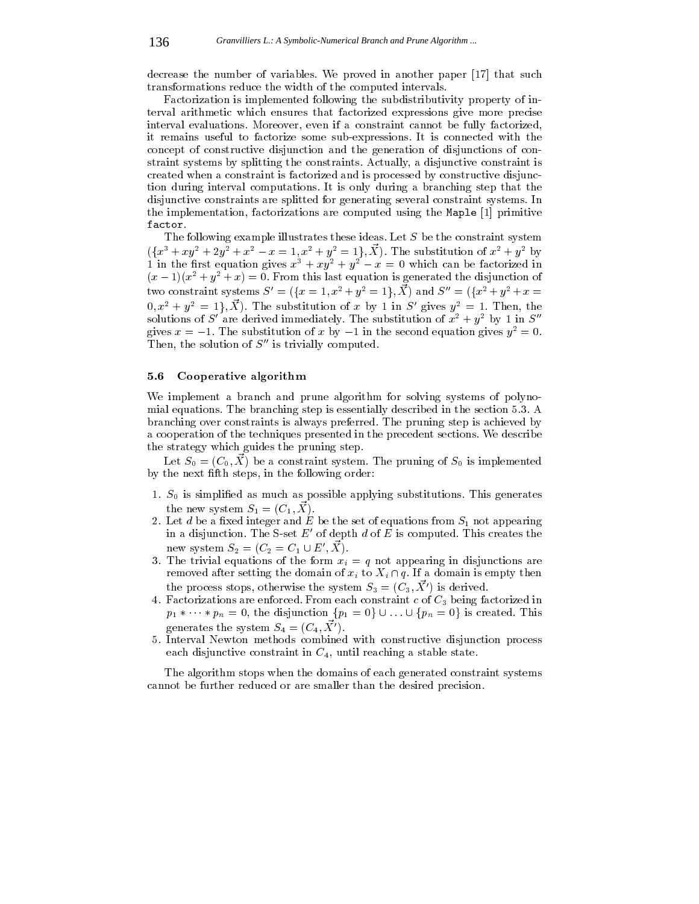decrease the number of variables. We proved in another paper [17] that such transformations reduce the width of the computed intervals.

Factorization is implemented following the subdistributivity property of interval arithmetic which ensures that factorized expressions give more precise interval evaluations. Moreover, even if a constraint cannot be fully factorized, it remains useful to factorize some sub-expressions. It is connected with the concept of constructive disjunction and the generation of disjunctions of con straint systems by splitting the constraints. Actually, a disjunctive constraint is created when a constraint is factorized and is processed by constructive disjunction during interval computations. It is only during a branching step that the disjunctive constraints are splitted for generating several constraint systems. In the implementation, factorizations are computed using the Maple [1] primitive factor.

The following example illustrates these ideas. Let  $S$  be the constraint system  $(3x^2 + xy^2 + 2y^2 + x^2 - x) = 1, x^2 + y^2 = 1, \Lambda$ . The substitution of  $x^2 + y^2$  by 1 in the first equation gives  $x^2 + xy^2 + y^2 - x = 0$  which can be factorized in  $(x - 1)(x + y + x) = 0$ . From this last equation is generated the disjunction of two constraint systems  $S = (\{x = 1, x^2 + y^2 = 1\}, \Lambda)$  and  $S = (\{x^2 + y^2 + x =$  $0, x^2 + y^2 = 1$ ;  $\Lambda$ ). The substitution of x by 1 in S gives  $y^2 = 1$ . Then, the solutions of S' are derived immediately. The substitution of  $x^2 + y^2$  by 1 in S'' gives  $x = -1$ . The substitution of x by  $-1$  in the second equation gives  $y^2 = 0$ . Then, the solution of  $S''$  is trivially computed.

### 5.6 Cooperative algorithm

We implement a branch and prune algorithm for solving systems of polynomial equations. The branching step is essentially described in the section 5.3. A branching over constraints is always preferred. The pruning step is achieved by a cooperation of the techniques presented in the precedent sections. We describe the strategy which guides the pruning step.

Let  $S_0 = (C_0, X)$  be a constraint system. The pruning or  $S_0$  is implemented by the next fth steps, in the following order:

- 1.  $S_0$  is simplified as much as possible applying substitutions. This generates the new system  $D_1 = (C_1, X)$ .
- 2. Let  $d$  be a fixed integer and  $E$  be the set of equations from  $S_1$  not appearing in a disjunction. The S-set  $E'$  of depth d of E is computed. This creates the new system  $S_2 = (C_2 = C_1 \cup E_1, \Lambda).$
- 3. The trivial equations of the form  $x_i = q$  not appearing in disjunctions are removed after setting the domain of  $x_i$  to  $X_i \cap q$ . If a domain is empty then the process stops, otherwise the system  $S_3 = (C_3, \vec{X}')$  is derived.
- 4. Factorizations are enforced. From each constraint  $c$  of  $C_3$  being factorized in  $p_1 * \cdots * p_n = 0$ , the disjunction  $\{p_1 = 0\} \cup \ldots \cup \{p_n = 0\}$  is created. This generates the system  $S_4 = (C_4, \vec{X}')$ .
- 5. Interval Newton methods combined with constructive disjunction process each disjunctive constraint in  $C_4$ , until reaching a stable state.

The algorithm stops when the domains of each generated constraint systems cannot be further reduced or are smaller than the desired precision.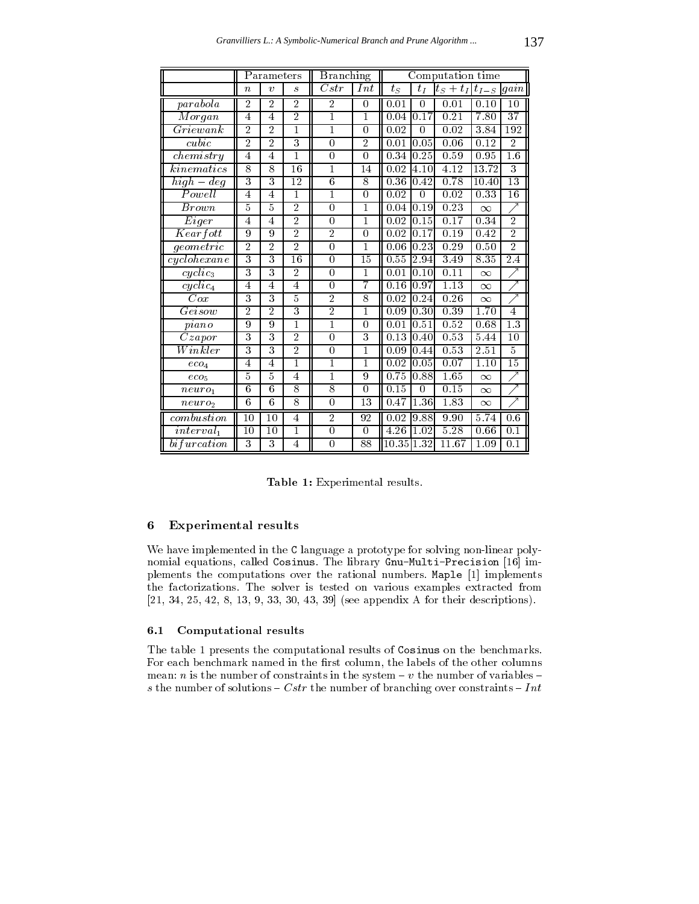|                      | Parameters       |                  |                | <b>Branching</b> |                | Computation time |          |                            |          |                  |
|----------------------|------------------|------------------|----------------|------------------|----------------|------------------|----------|----------------------------|----------|------------------|
|                      | $\boldsymbol{n}$ | $\boldsymbol{v}$ | $\mathcal{S}$  | Cstr             | Int            | $t_S$            | $t_I$    | $t_S + t_I  t_{I-S}  gain$ |          |                  |
| parabola             | $\overline{2}$   | $\overline{2}$   | $\overline{2}$ | 2                | $\overline{0}$ | 0.01             | $\Omega$ | 0.01                       | 0.10     | 10               |
| Morgan               | $\overline{4}$   | $\overline{4}$   | $\overline{2}$ | $\mathbf{1}$     | 1              | $0.04$ 0.17      |          | 0.21                       | 7.80     | $\overline{37}$  |
| Griewank             | $\overline{2}$   | $\overline{2}$   | $\mathbf{1}$   | 1                | $\Omega$       | 0.02             | $\Omega$ | 0.02                       | 3.84     | 192              |
| cubic                | $\overline{2}$   | $\overline{2}$   | 3              | $\overline{0}$   | $\overline{2}$ | $0.01$ $ 0.05$   |          | 0.06                       | 0.12     | $\overline{2}$   |
| chemistry            | 4                | 4                | $\mathbf{1}$   | $\overline{0}$   | $\overline{0}$ | 0.34 0.25        |          | 0.59                       | 0.95     | 1.6              |
| kinematics           | $\overline{8}$   | 8                | 16             | 1                | 14             | $0.02$ 4.10      |          | 4.12                       | 13.72    | 3                |
| $high-deg$           | 3                | 3                | 12             | $\overline{6}$   | 8              | 0.36 0.42        |          | 0.78                       | 10.40    | 13               |
| Powell               | $\overline{4}$   | $\overline{4}$   | 1              | 1                | $\overline{0}$ | 0.02             | $\Omega$ | 0.02                       | 0.33     | 16               |
| <i>Brown</i>         | 5                | 5                | $\overline{2}$ | $\overline{0}$   | 1              | $0.04$ 0.19      |          | 0.23                       | $\infty$ |                  |
| Eiger                | $\overline{4}$   | $\overline{4}$   | $\overline{2}$ | $\overline{0}$   | $\mathbf{1}$   | $0.02$ $0.15$    |          | 0.17                       | 0.34     | $\overline{2}$   |
| Kearfott             | 9                | 9                | $\overline{2}$ | $\overline{2}$   | $\Omega$       | $0.02$ $0.17$    |          | 0.19                       | 0.42     | $\overline{2}$   |
| geometric            | $\overline{2}$   | $\overline{2}$   | $\overline{2}$ | $\overline{0}$   | 1              | $0.06 \,   0.23$ |          | 0.29                       | 0.50     | $\overline{2}$   |
| cyclohexane          | 3                | 3                | 16             | $\overline{0}$   | 15             | $0.55$ 2.94      |          | $\overline{3.49}$          | 8.35     | 2.4              |
| $cyclic_3$           | 3                | 3                | $\overline{2}$ | $\overline{0}$   | 1              | $0.01$   $0.10$  |          | 0.11                       | $\infty$ |                  |
| $cyclic_4$           | $\overline{4}$   | 4                | $\overline{4}$ | $\overline{0}$   | 7              | 0.16 0.97        |          | 1.13                       | $\infty$ | ↗                |
| Cox                  | 3                | 3                | 5              | $\overline{2}$   | 8              | $0.02$ 0.24      |          | 0.26                       | $\infty$ |                  |
| $\it Geisow$         | $\overline{2}$   | $\overline{2}$   | 3              | $\overline{2}$   | 1              | $0.09\, 0.30$    |          | 0.39                       | 1.70     | $\overline{4}$   |
| piano                | 9                | 9                | 1              | 1                | $\overline{0}$ | $0.01$ 0.51      |          | 0.52                       | 0.68     | $\overline{1.3}$ |
| $\overline{Cz}$ apor | 3                | 3                | $\overline{2}$ | $\overline{0}$   | 3              | $0.13$ 0.40      |          | 0.53                       | 5.44     | 10               |
| Winkler              | 3                | 3                | $\overline{2}$ | $\overline{0}$   | 1              | 0.09 0.44        |          | 0.53                       | 2.51     | $\overline{5}$   |
| eco <sub>4</sub>     | $\overline{4}$   | $\overline{4}$   | 1              | 1                | 1              | $0.02 \, 10.05$  |          | 0.07                       | 1.10     | 15               |
| eco <sub>5</sub>     | 5                | 5                | $\overline{4}$ | 1                | 9              | 0.75 0.88        |          | 1.65                       | $\infty$ |                  |
| neuro <sub>1</sub>   | 6                | 6                | $\overline{8}$ | $\overline{8}$   | $\Omega$       | 0.15             | $\Omega$ | 0.15                       | $\infty$ |                  |
| neuro <sub>2</sub>   | 6                | 6                | 8              | $\overline{0}$   | 13             | 0.47             | 1.36     | 1.83                       | $\infty$ |                  |
| combustion           | 10               | 10               | $\overline{4}$ | $\overline{2}$   | 92             | 0.02             | 9.88     | 9.90                       | 5.74     | 0.6              |
| $interval_1$         | 10               | 10               | $\mathbf{1}$   | $\Omega$         | $\Omega$       | 4.26             | 1.02     | 5.28                       | 0.66     | 0.1              |
| bi furcation         | 3                | 3                | 4              | $\overline{0}$   | 88             | 10.35 1.32       |          | 11.67                      | 1.09     | 0.1              |

Table 1: Experimental results.

### 6 Experimental results

We have implemented in the <sup>C</sup> language a prototype for solving non-linear polynomial equations, called Cosinus. The library Gnu-Multi-Precision [16] implements the computations over the rational numbers. Maple [1] implements the factorizations. The solver is tested on various examples extracted from [21, 34, 25, 42, 8, 13, 9, 33, 30, 43, 39] (see appendix A for their descriptions).

### 6.1 Computational results

The table 1 presents the computational results of Cosinus on the benchmarks. For each benchmark named in the first column, the labels of the other columns mean: *n* is the number of constraints in the system  $-v$  the number of variables  $$ s the number of solutions  ${{\it Cstr}}$  the number of branching over constraints  ${{\it I}}nt$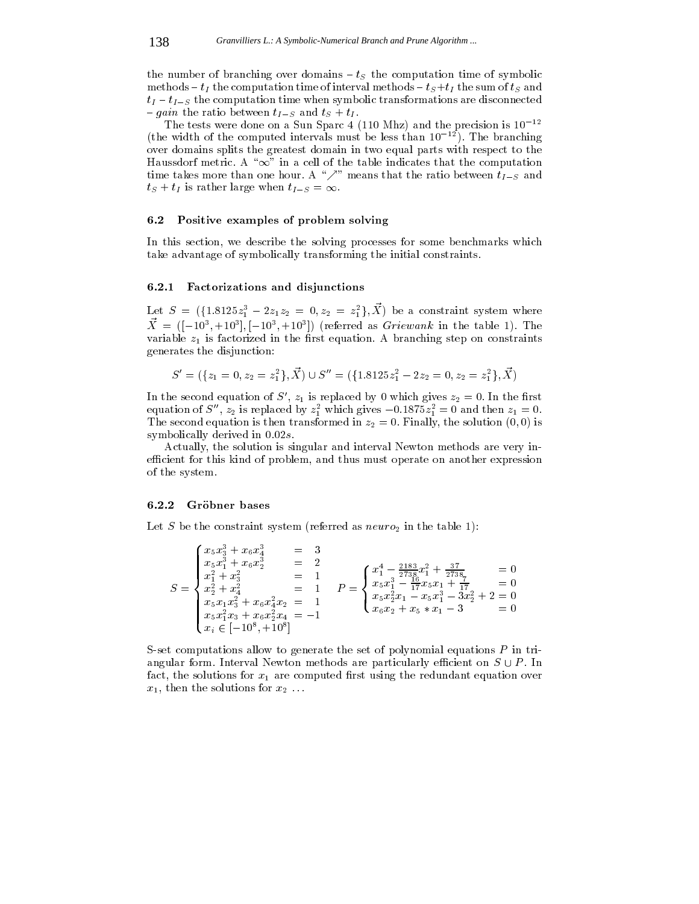the number of branching over domains  $-t<sub>S</sub>$  the computation time of symbolic methods  $-t_I$  the computation time of interval methods  $-t_S+t_I$  the sum of  $t_S$  and  $t_I - t_{I-S}$  the computation time when symbolic transformations are disconnected  $-gain$  the ratio between  $t_{I-S}$  and  $t_S + t_I$ .

The tests were done on a Sun Sparc 4 (110 Mhz) and the precision is  $10^{-12}$ (the width of the computed intervals must be less than  $10^{-12}$ ). The branching over domains splits the greatest domain in two equal parts with respect to the Haussdorf metric. A " $\infty$ " in a cell of the table indicates that the computation time takes more than one hour. A " $\nearrow$ " means that the ratio between  $t_{I-S}$  and  $t_S + t_I$  is rather large when  $t_{I-S} = \infty$ .

### 6.2 Positive examples of problem solving

In this section, we describe the solving processes for some benchmarks which take advantage of symbolically transforming the initial constraints.

### 6.2.1 Factorizations and disjunctions

Let  $S = (\{1.8125z_1^2 - 2z_1z_2 = 0, z_2 = z_1^2\}, X)$  be a constraint system where  $\Lambda$  = ( $[-10^\circ, +10^\circ]$ , $[-10^\circ, +10^\circ]$ ) (referred as Griewank in the table 1). The variable  $z_1$  is factorized in the first equation. A branching step on constraints generates the disjunction:

$$
S' = (\{z_1 = 0, z_2 = z_1^2\}, \vec{X}) \cup S'' = (\{1.8125z_1^2 - 2z_2 = 0, z_2 = z_1^2\}, \vec{X})
$$

In the second equation of  $S'$ ,  $z_1$  is replaced by 0 which gives  $z_2 = 0$ . In the first equation of  $S_1$ ,  $z_2$  is replaced by  $z_1^-$  which gives  $-0.1875z_1^2 = 0$  and then  $z_1 = 0$ . The second equation is then transformed in  $z_2 = 0$ . Finally, the solution  $(0, 0)$  is symbolically derived in  $0.02s$ .

Actually, the solution is singular and interval Newton methods are very inefficient for this kind of problem, and thus must operate on another expression of the system.

#### 6.2.2 Gröbner bases

Let S be the constraint system (referred as  $neuro<sub>2</sub>$  in the table 1):

$$
S = \begin{cases} x_5 x_3^3 + x_6 x_4^3 & = 3\\ x_5 x_1^3 + x_6 x_2^3 & = 2\\ x_1^2 + x_3^2 & = 1\\ x_2^2 + x_4^2 & = 1\\ x_5 x_1 x_3^2 + x_6 x_4^2 x_2 & = 1\\ x_5 x_1^2 x_3 + x_6 x_2^2 x_4 & = -1 \end{cases} \quad P = \begin{cases} x_1^4 - \frac{2183}{2738} x_1^2 + \frac{37}{2738} & = 0\\ x_5 x_1^3 - \frac{16}{17} x_5 x_1 + \frac{7}{17} & = 0\\ x_5 x_2^2 x_1 - x_5 x_1^3 - 3x_2^2 + 2 & = 0\\ x_6 x_2 + x_5 \cdot x_1 - 3 & = 0 \end{cases} \quad \text{and} \quad P = \begin{cases} x_1^4 - \frac{2183}{2738} x_1^2 + \frac{37}{2738} & = 0\\ x_5 x_1^2 - \frac{16}{17} x_5 x_1 + \frac{7}{17} & = 0\\ x_5 x_2^2 x_1 - x_5 x_1^3 - 3x_2^2 + 2 & = 0\\ x_6 x_2 + x_5 \cdot x_1 - 3 & = 0 \end{cases}
$$

S-set computations allow to generate the set of polynomial equations P in triangular form. Interval Newton methods are particularly efficient on  $S \cup P$ . In fact, the solutions for  $x_1$  are computed first using the redundant equation over  $x_1$ , then the solutions for  $x_2 \ldots$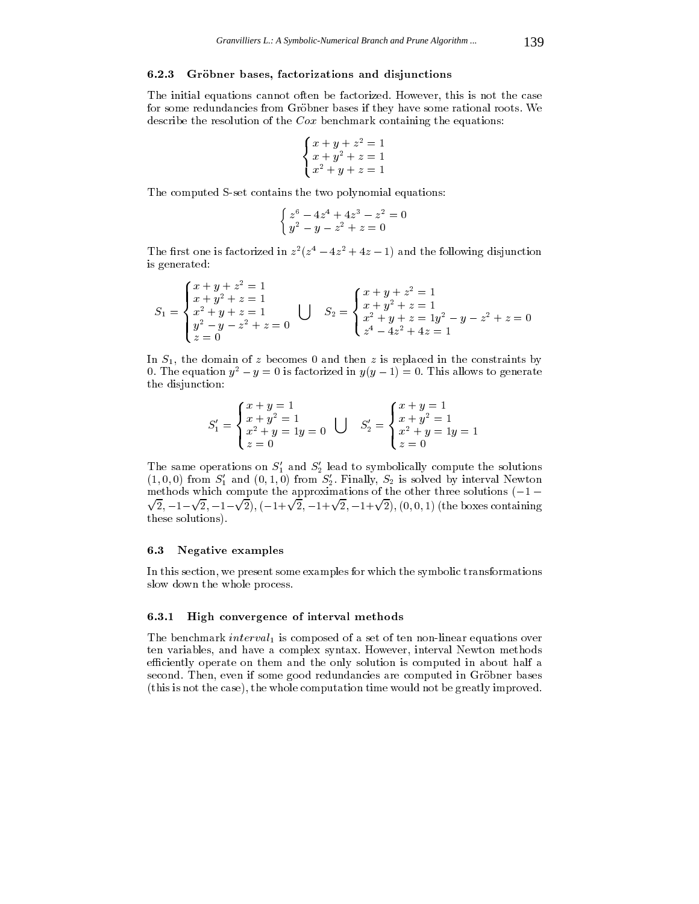### 6.2.3 Gröbner bases, factorizations and disjunctions

The initial equations cannot often be factorized. However, this is not the case for some redundancies from Gröbner bases if they have some rational roots. We describe the resolution of the Cox benchmark containing the equations:

$$
\begin{cases}\nx + y + z^2 = 1 \\
x + y^2 + z = 1 \\
x^2 + y + z = 1\n\end{cases}
$$

The computed S-set contains the two polynomial equations:

$$
\begin{cases} z^6 - 4z^4 + 4z^3 - z^2 = 0\\ y^2 - y - z^2 + z = 0 \end{cases}
$$

The intst one is factorized in  $z^-(z^- = 4z^- + 4z^- - 1)$  and the following disjunction is generated:

$$
S_1 = \begin{cases} x+y+z^2 = 1 \\ x+y^2+z = 1 \\ x^2+y+z = 1 \\ y^2-y-z^2+z = 0 \end{cases} \quad \bigcup \quad S_2 = \begin{cases} x+y+z^2 = 1 \\ x+y^2+z = 1 \\ x^2+y+z = 1 \\ z^4-4z^2+4z = 1 \end{cases}
$$

In  $S_1$ , the domain of z becomes 0 and then z is replaced in the constraints by 0. The equation  $y^2 - y = 0$  is factorized in  $y(y - 1) = 0$ . This allows to generate the disjunction:

$$
S_1' = \begin{cases} x+y=1 \\ x+y^2=1 \\ x^2+y=1 \\ z=0 \end{cases} \quad \bigcup \quad S_2' = \begin{cases} x+y=1 \\ x+y^2=1 \\ x^2+y=1 \\ z=0 \end{cases}
$$

The same operations on  $S_1'$  and  $S_2'$  lead to symbolically compute the solutions  $(1, 0, 0)$  from  $S_1$  and  $(0, 1, 0)$  from  $S_2$ . Finally,  $S_2$  is solved by interval Newton methods which compute the approximations of the solutions of the solutions  $(1, 1, 1)$  $\sqrt{2}, -1-\sqrt{2}, -1-\sqrt{2}$ ,  $(-1+\sqrt{2}, -1+\sqrt{2}, -1+\sqrt{2})$ ,  $(0, 0, 1)$  (the boxes containing these solutions).

### 6.3 Negative examples

In this section, we present some examples for which the symbolic transformations slow down the whole process.

### 6.3.1 High convergence of interval methods

The benchmark interval<sub>1</sub> is composed of a set of ten non-linear equations over ten variables, and have a complex syntax. However, interval Newton methods efficiently operate on them and the only solution is computed in about half a second. Then, even if some good redundancies are computed in Gröbner bases (this is not the case), the whole computation time would not be greatly improved.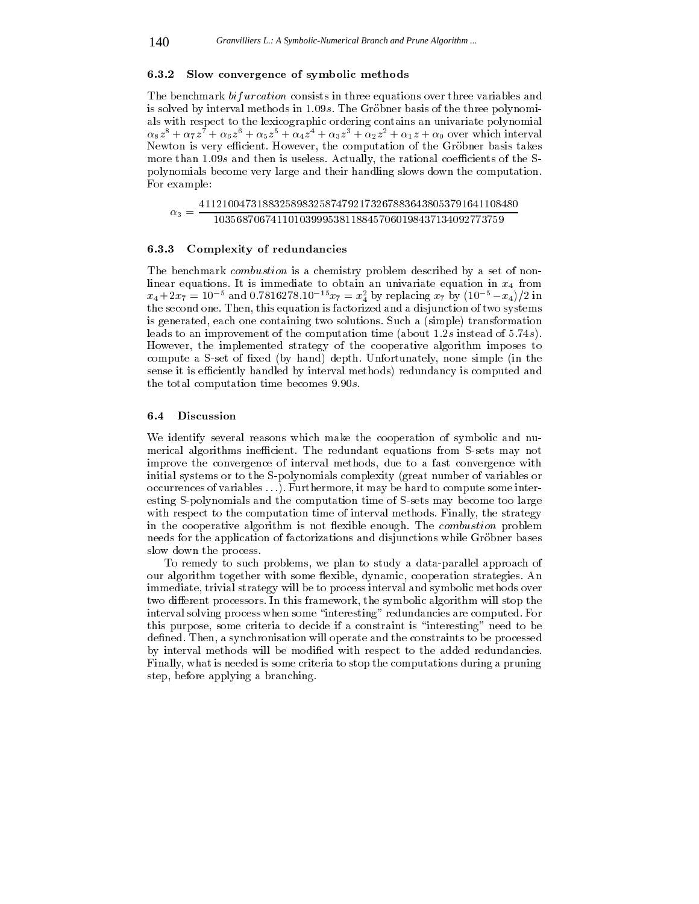### 6.3.2 Slow convergence of symbolic methods

The benchmark bif urcation consists in three equations over three variables and is solved by interval methods in 1.09s. The Gröbner basis of the three polynomials with respect to the lexicographic ordering contains an univariate polynomial  $\alpha_8 z$  +  $\alpha_7 z$  +  $\alpha_6 z$  +  $\alpha_5 z$  +  $\alpha_4 z$  +  $\alpha_3 z$  +  $\alpha_2 z$  +  $\alpha_1 z$  +  $\alpha_0$  over which interval Newton is very efficient. However, the computation of the Gröbner basis takes more than  $1.09s$  and then is useless. Actually, the rational coefficients of the Spolynomials become very large and their handling slows down the computation. For example:

|  | 41121004731883258983258747921732678836438053791641108480                          |
|--|-----------------------------------------------------------------------------------|
|  | $\alpha_3 =$ $\frac{1}{2}$<br>103568706741101039995381188457060198437134092773759 |

### 6.3.3 Complexity of redundancies

The benchmark *combustion* is a chemistry problem described by a set of nonlinear equations. It is immediate to obtain an univariate equation in  $x_4$  from  $x_4 + 2x_7 = 10$  and 0.7816278.10  $x_7 = x_4$  by replacing  $x_7$  by (10  $x_7 = x_4$ )/2 in the second one. Then, this equation is factorized and a disjunction of two systems is generated, each one containing two solutions. Such a (simple) transformation leads to an improvement of the computation time (about 1.2s instead of 5.74s). However, the implemented strategy of the cooperative algorithm imposes to compute a S-set of fixed (by hand) depth. Unfortunately, none simple (in the sense it is efficiently handled by interval methods) redundancy is computed and the total computation time becomes 9:90s.

### 6.4 Discussion

We identify several reasons which make the cooperation of symbolic and nu merical algorithms inefficient. The redundant equations from S-sets may not improve the convergence of interval methods, due to a fast convergence with initial systems or to the S-polynomials complexity (great number of variables or occurrences of variables ...). Furthermore, it may be hard to compute some interesting S-polynomials and the computation time of S-sets may become too large with respect to the computation time of interval methods. Finally, the strategy in the cooperative algorithm is not flexible enough. The *combustion* problem needs for the application of factorizations and disjunctions while Gröbner bases slow down the process.

To remedy to such problems, we plan to study a data-parallel approach of our algorithm together with some flexible, dynamic, cooperation strategies. An immediate, trivial strategy will be to process interval and symbolic methods over two different processors. In this framework, the symbolic algorithm will stop the interval solving process when some "interesting" redundancies are computed. For this purpose, some criteria to decide if a constraint is \interesting" need to be defined. Then, a synchronisation will operate and the constraints to be processed by interval methods will be modied with respect to the added redundancies. Finally, what is needed is some criteria to stop the computations during a pruning step, before applying a branching.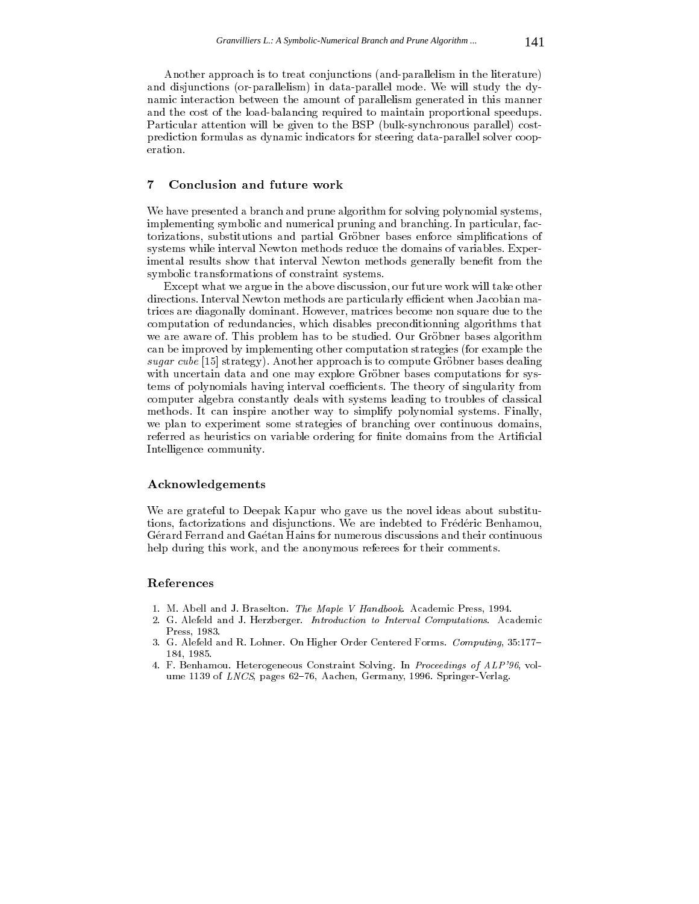Another approach is to treat conjunctions (and-parallelism in the literature) and disjunctions (or-parallelism) in data-parallel mode. We will study the dynamic interaction between the amount of parallelism generated in this manner and the cost of the load-balancing required to maintain proportional speedups. Particular attention will be given to the BSP (bulk-synchronous parallel) costprediction formulas as dynamic indicators for steering data-parallel solver cooperation.

### 7 Conclusion and future work

We have presented a branch and prune algorithm for solving polynomial systems, implementing symbolic and numerical pruning and branching. In particular, factorizations, substitutions and partial Grobner bases enforce simplications of systems while interval Newton methods reduce the domains of variables. Experimental results show that interval Newton methods generally benefit from the symbolic transformations of constraint systems.

Except what we argue in the above discussion, our future work will take other directions. Interval Newton methods are particularly efficient when Jacobian matrices are diagonally dominant. However, matrices become non square due to the computation of redundancies, which disables preconditionning algorithms that we are aware of. This problem has to be studied. Our Gröbner bases algorithm can be improved by implementing other computation strategies (for example the sugar cube [15] strategy). Another approach is to compute Gröbner bases dealing with uncertain data and one may explore Gröbner bases computations for systems of polynomials having interval coefficients. The theory of singularity from computer algebra constantly deals with systems leading to troubles of classical methods. It can inspire another way to simplify polynomial systems. Finally, we plan to experiment some strategies of branching over continuous domains, referred as heuristics on variable ordering for finite domains from the Artificial Intelligence community.

### Acknowledgements

We are grateful to Deepak Kapur who gave us the novel ideas about substitutions, factorizations and disjunctions. We are indebted to Frederic Benhamou, Gerard Ferrand and Gaetan Hains for numerous discussions and their continuous help during this work, and the anonymous referees for their comments.

### References

- 1. M. Abell and J. Braselton. The Maple V Handbook. Academic Press, 1994.
- 2. G. Alefeld and J. Herzberger. Introduction to Interval Computations. Academic Press, 1983.
- 3. G. Alefeld and R. Lohner. On Higher Order Centered Forms. Computing, 35:177-184, 1985.
- 4. F. Benhamou. Heterogeneous Constraint Solving. In Proceedings of ALP'96, volume 1139 of LNCS, pages 62-76, Aachen, Germany, 1996. Springer-Verlag.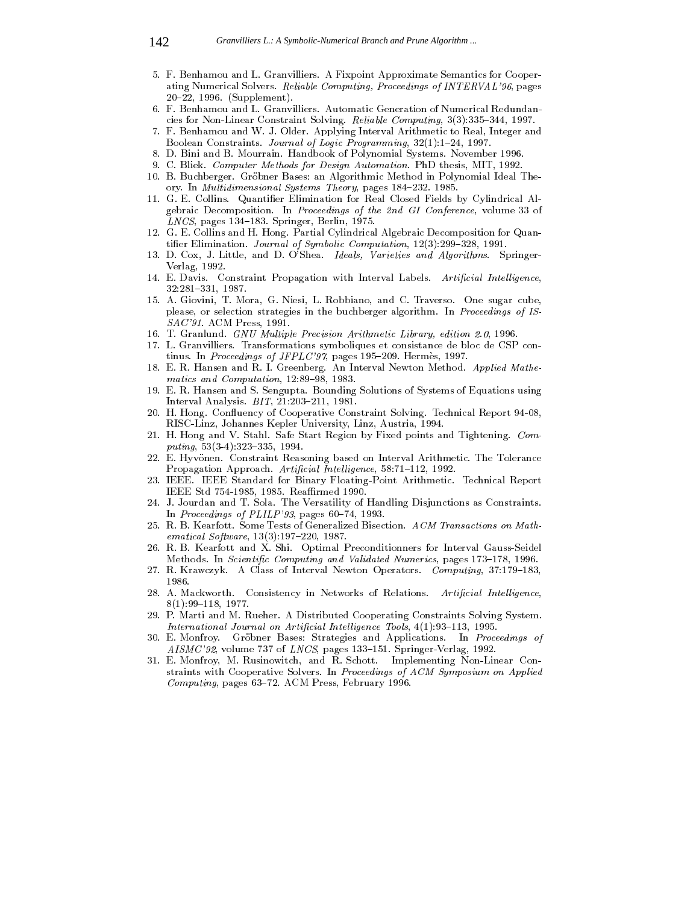- 5. F. Benhamou and L. Granvilliers. A Fixpoint Approximate Semantics for Cooperating Numerical Solvers. Reliable Computing, Proceedings of INTERVAL'96, pages 20-22, 1996. (Supplement).
- 6. F. Benhamou and L. Granvilliers. Automatic Generation of Numerical Redundancies for Non-Linear Constraint Solving. Reliable Computing, 3(3):335-344, 1997.
- 7. 7. F. Benhamou and W. J. Older. Applying Interval Arithmetic to Real, Integer and Boolean Constraints. Journal of Logic Programming, 32(1):1-24, 1997.
- 8. D. Bini and B. Mourrain. Handbook of Polynomial Systems. November 1996.
- 9. C. Bliek. Computer Methods for Design Automation. PhD thesis, MIT, 1992.
- 10. B. Buchberger. Grobner Bases: an Algorithmic Method in Polynomial Ideal Theory. In Multidimensional Systems Theory, pages 184-232. 1985.
- 11. G. E. Collins. Quantier Elimination for Real Closed Fields by Cylindrical Algebraic Decomposition. In Proceedings of the 2nd GI Conference, volume 33 of  $LNCS$ , pages 134-183. Springer, Berlin, 1975.
- 12. G. E. Collins and H. Hong. Partial Cylindrical Algebraic Decomposition for Quantifier Elimination. Journal of Symbolic Computation,  $12(3):299-328$ , 1991.
- 13. D. Cox, J. Little, and D. O'Shea. Ideals, Varieties and Algorithms. Springer-Verlag, 1992.
- 14. E. Davis. Constraint Propagation with Interval Labels. Artificial Intelligence, 32:281{331, 1987.
- 15. A. Giovini, T. Mora, G. Niesi, L. Robbiano, and C. Traverso. One sugar cube, please, or selection strategies in the buchberger algorithm. In Proceedings of IS-SAC'91. ACM Press, 1991.
- 16. T. Granlund. GNU Multiple Precision Arithmetic Library, edition 2.0, 1996.
- 17. L. Granvilliers. Transformations symboliques et consistance de bloc de CSP continus. In Proceedings of JFPLC'97, pages 195-209. Hermès, 1997.
- 18. E. R. Hansen and R. I. Greenberg. An Interval Newton Method. Applied Mathematics and Computation,  $12:89-98$ , 1983.
- 19. E. R. Hansen and S. Sengupta. Bounding Solutions of Systems of Equations using Interval Analysis. BIT, 21:203-211, 1981.
- H. Hong. Confluency of Cooperative Constraint Solving. Technical Report 94-08, RISC-Linz, Johannes Kepler University, Linz, Austria, 1994.
- 21. H. Hong and V. Stahl. Safe Start Region by Fixed points and Tightening. Computing,  $53(3-4):323-335, 1994.$
- 22. E. Hyvonen. Constraint Reasoning based on Interval Arithmetic. The Tolerance Propagation Approach. Artificial Intelligence, 58:71-112, 1992.
- 23. IEEE. IEEE Standard for Binary Floating-Point Arithmetic. Technical Report IEEE Std 754-1985, 1985. Rearmed 1990.
- 24. J. Jourdan and T. Sola. The Versatility of Handling Disjunctions as Constraints. In Proceedings of PLILP'93, pages  $60-74$ , 1993.
- 25. R. B. Kearfott. Some Tests of Generalized Bisection. ACM Transactions on Math $ematical Software, 13(3): 197–220, 1987.$
- 26. R. B. Kearfott and X. Shi. Optimal Preconditionners for Interval Gauss-Seidel Methods. In Scientific Computing and Validated Numerics, pages 173-178, 1996.
- 27. R. Krawczyk. A Class of Interval Newton Operators. Computing, 37:179-183, 1986
- 28. A. Mackworth. Consistency in Networks of Relations. Artificial Intelligence,  $8(1):99-118, 1977.$
- 29. P. Marti and M. Rueher. A Distributed Cooperating Constraints Solving System. International Journal on Artificial Intelligence Tools,  $4(1): 93-113$ , 1995.
- E. Monfroy. Gröbner Bases: Strategies and Applications. In Proceedings of  $30<sub>1</sub>$  $AISMC'92$ , volume 737 of  $LNCS$ , pages 133-151. Springer-Verlag, 1992.
- 31. E. Monfroy, M. Rusinowitch, and R. Schott. Implementing Non-Linear Constraints with Cooperative Solvers. In Proceedings of ACM Symposium on Applied  $Computing$ , pages 63-72. ACM Press, February 1996.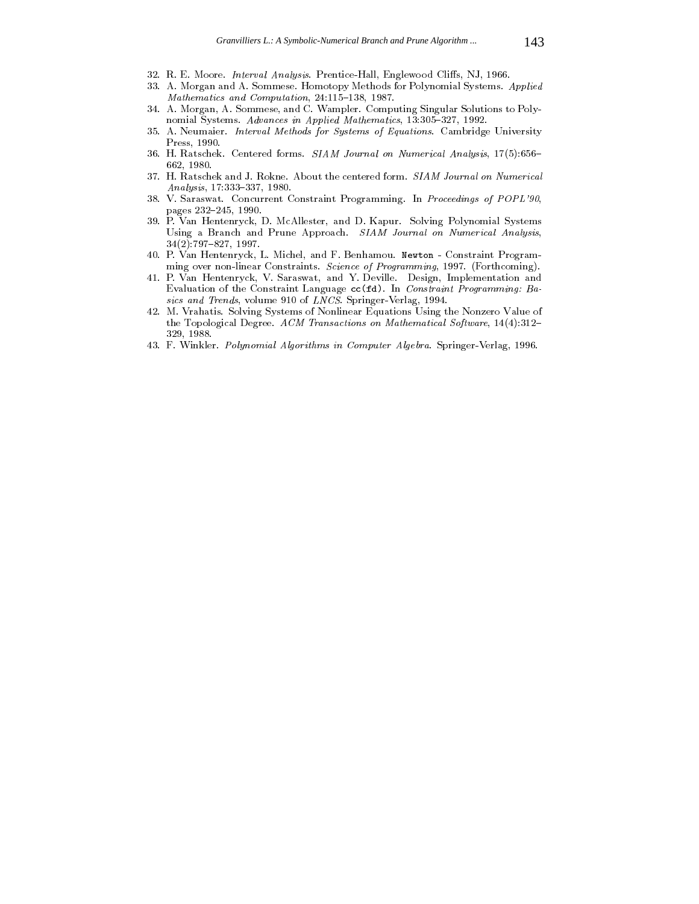- 32. R. E. Moore. *Interval Analysis*. Prentice-Hall, Englewood Cliffs, NJ, 1966.
- 33. A. Morgan and A. Sommese. Homotopy Methods for Polynomial Systems. Applied  $Mathematics$  and  $Computation$ , 24:115-138, 1987.
- 34. A. Morgan, A. Sommese, and C. Wampler. Computing Singular Solutions to Polynomial Systems. Advances in Applied Mathematics, 13:305-327, 1992.
- 35. A. Neumaier. Interval Methods for Systems of Equations. Cambridge University Press, 1990.
- 36. H. Ratschek. Centered forms. SIAM Journal on Numerical Analysis, 17(5):656-662, 1980.
- 37. H. Ratschek and J. Rokne. About the centered form. SIAM Journal on Numerical Analysis, 17:333-337, 1980.
- 38. V. Saraswat. Concurrent Constraint Programming. In Proceedings of POPL'90, pages 232-245, 1990.
- 39. P. Van Hentenryck, D. McAllester, and D. Kapur. Solving Polynomial Systems Using a Branch and Prune Approach. SIAM Journal on Numerical Analysis, 34(2):797-827, 1997.
- 40. P. Van Hentenryck, L. Michel, and F. Benhamou. Newton Constraint Programming over non-linear Constraints. Science of Programming, 1997. (Forthcoming).
- 41. P. Van Hentenryck, V. Saraswat, and Y. Deville. Design, Implementation and Evaluation of the Constraint Language cc(fd). In Constraint Programming: Basics and Trends, volume 910 of LNCS. Springer-Verlag, 1994.
- 42. M. Vrahatis. Solving Systems of Nonlinear Equations Using the Nonzero Value of the Topological Degree. ACM Transactions on Mathematical Software, 14(4):312-329, 1988.
- 43. F. Winkler. Polynomial Algorithms in Computer Algebra. Springer-Verlag, 1996.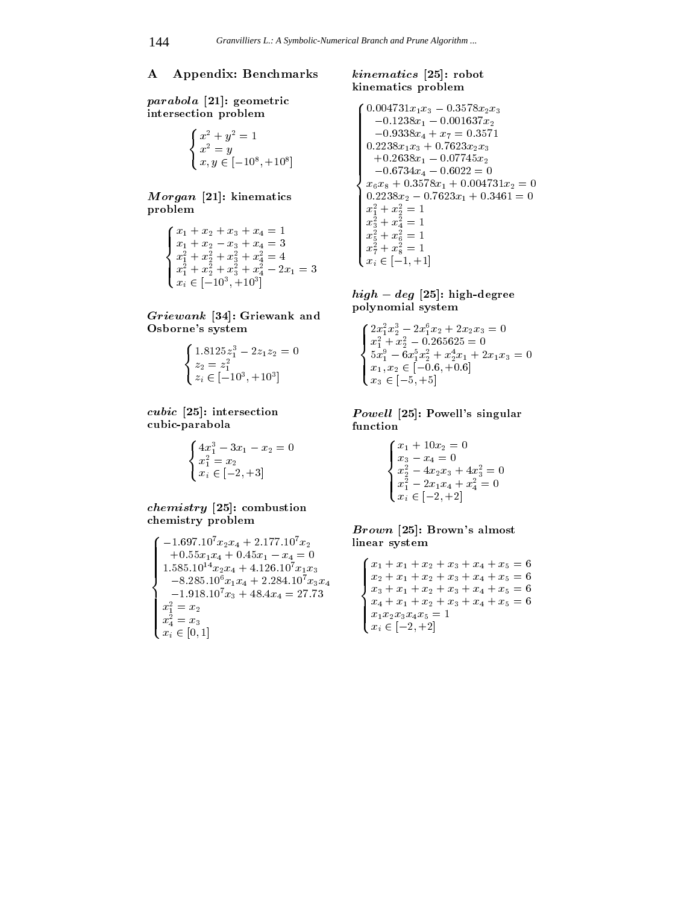and the contract of the contract of the contract of the contract of the contract of the contract of

### A Appendix: Benchmarks

parabola [21]: geometric intersection problem

$$
\begin{cases}\nx^2 + y^2 = 1 \\
x^2 = y \\
x, y \in [-10^8, +10^8]\n\end{cases}
$$

M organ [21]: kinematics problem

$$
\begin{cases}\nx_1 + x_2 + x_3 + x_4 = 1 \\
x_1 + x_2 - x_3 + x_4 = 3 \\
x_1^2 + x_2^2 + x_3^2 + x_4^2 = 4 \\
x_1^2 + x_2^2 + x_3^2 + x_4^2 - 2x_1 = 3 \\
x_i \in [-10^3, +10^3]\n\end{cases}
$$

Griewank [34]: Griewank and Osborne's system

$$
\begin{cases}\n1.8125z_1^3 - 2z_1z_2 = 0\\ \nz_2 = z_1^2\\ \nz_i \in [-10^3, +10^3]\n\end{cases}
$$

cubic [25]: contraction contractions cubic-parabola

$$
\begin{cases}\n4x_1^3 - 3x_1 - x_2 = 0 \\
x_1^2 = x_2 \\
x_i \in [-2, +3]\n\end{cases}
$$

chemistry  $2$  , computed in the combustion of the combustion of  $\alpha$ chemistry problem

$$
\begin{cases}\n-1.697.10^{7}x_{2}x_{4} + 2.177.10^{7}x_{2} & \text{lin} \\
+0.55x_{1}x_{4} + 0.45x_{1} - x_{4} = 0 \\
1.585.10^{14}x_{2}x_{4} + 4.126.10^{7}x_{1}x_{3} \\
-8.285.10^{6}x_{1}x_{4} + 2.284.10^{7}x_{3}x_{4} \\
-1.918.10^{7}x_{3} + 48.4x_{4} = 27.73 \\
x_{1}^{2} = x_{2} \\
x_{4}^{2} = x_{3} \\
x_{i} \in [0, 1]\n\end{cases}
$$

### kinematics [25]: robot kinematics problem

 $\int 0.004731x_1x_3 - 0.3578x_2x_3$  $\begin{array}{|c} -0.1238x_1 - \\ -0.9338x_4 + \\ 0.2238x_1x_3 + 0 \\ +0.2638x_1 - \\ -0.6734x_4 - \end{array}$  $\begin{array}{l} 0.2238x_2 - 0.76 \\ x_1^2 + x_2^2 = 1 \\ x_3^2 + x_4^2 = 1 \\ x_5^2 + x_6^2 = 1 \\ x_7^2 + x_8^2 = 1 \end{array}$ 0:1238x1 0:001637x2 0:9338x4 + x7 = 0:3571 + x7 = 0:3571 + x7 = 0:3571 + x7 = 0:3571 + x7 = 0:3571 + x7 = 0:3571 + x7 = 0:3571 + x  $0.2238x_1x_3 + 0.7623x_2x_3$  $+0.2638x_1 - 0.07745x_2$  $-0.6734x_4 - 0.6022 = 0$  $x_6x_8 + 0.3578x_1 + 0.004731x_2 = 0$  $0.2238x_2 - 0.7623x_1 + 0.3461 = 0$  $x_1^2 + x_2^2 = 1$ <br>  $x_2^2 + x_4^2 = 1$ <br>  $x_5^2 + x_6^2 = 1$ <br>  $x_7^2 + x_8^2 = 1$  $x_i \in [-1, +1]$ 

### high deg [25]: high-degree polynomial system

$$
\begin{cases}\n2x_1^2x_2^3 - 2x_1^6x_2 + 2x_2x_3 = 0\\ \nx_1^2 + x_2^2 - 0.265625 = 0\\ \n5x_1^9 - 6x_1^5x_2^2 + x_2^4x_1 + 2x_1x_3 = 0\\ \nx_1, x_2 \in [-0.6, +0.6]\\ \nx_3 \in [-5, +5]\n\end{cases}
$$

Powell [25]: Powell's singular function

$$
\begin{cases}\nx_1 + 10x_2 = 0 \\
x_3 - x_4 = 0 \\
x_2^2 - 4x_2x_3 + 4x_3^2 = 0 \\
x_1^2 - 2x_1x_4 + x_4^2 = 0 \\
x_i \in [-2, +2]\n\end{cases}
$$

Brown [25]: Brown's almost linear system

```
x_1 + x_1 + x_2 + x_3 + x_4 + x_5 = 6x_2+x_1+x_2+x_1x_2x_3x_4x_5 =x1 + x1 + x2 + x3 + x4 + x5 = 6 x2 + x1 + x2 + x3 + x4 + x5 = 6 x3 + x1 + x2 + x3 + x4 + x5 = 6 x4 + x1 + x2 + x3 + x4 + x5 = 6 \cdots \cdotsxi 2 [2; +2]
```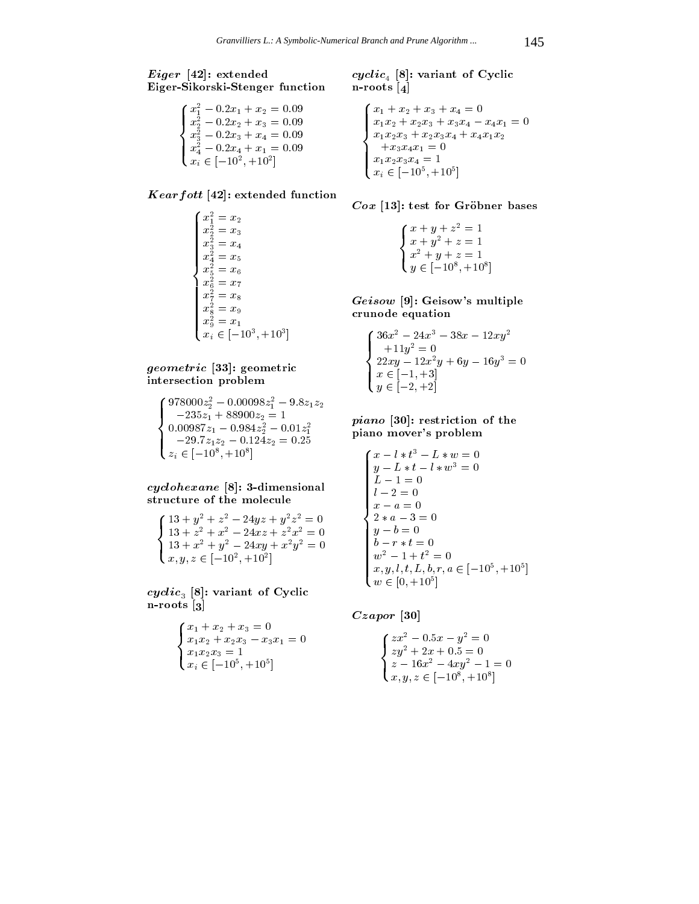## $E = \frac{1}{2}$ :  $E = \frac{1}{2}$ : extended de Eiger-Sikorski-Stenger function

$$
\begin{cases}\nx_1^2 - 0.2x_1 + x_2 = 0.09 \\
x_2^2 - 0.2x_2 + x_3 = 0.09 \\
x_3^2 - 0.2x_3 + x_4 = 0.09 \\
x_4^2 - 0.2x_4 + x_1 = 0.09 \\
x_i \in [-10^2, +10^2]\n\end{cases}
$$

### $\bf{K}$ ear jo $\bm{\iota}$ r (42): extended function

$$
\begin{cases}\nx_1^2 = x_2 \\
x_2^2 = x_3 \\
x_3^2 = x_4 \\
x_4^2 = x_5 \\
x_5^2 = x_6 \\
x_6^2 = x_7 \\
x_7^2 = x_8 \\
x_8^2 = x_9 \\
x_9^2 = x_1 \\
x_4 \in [-10^3, +10^3]\n\end{cases}
$$

### $\mathbf{3}$  so  $\mathbf{3}$ :  $\mathbf{3}$   $\mathbf{3}$   $\mathbf{3}$   $\mathbf{3}$   $\mathbf{3}$   $\mathbf{3}$   $\mathbf{3}$   $\mathbf{3}$   $\mathbf{3}$   $\mathbf{3}$   $\mathbf{3}$   $\mathbf{3}$   $\mathbf{3}$   $\mathbf{3}$   $\mathbf{3}$   $\mathbf{3}$   $\mathbf{3}$   $\mathbf{3}$   $\mathbf{3}$   $\mathbf{3}$   $\mathbf{3}$   $\mathbf{3}$  intersection problem

$$
\left\{\begin{array}{ll} 978000z_2^2-0.00098z_1^2-9.8z_1z_2 \\ -235z_1+88900z_2=1 \\ 0.00987z_1-0.984z_2^2-0.01z_1^2 \\ -29.7z_1z_2-0.124z_2=0.25 \end{array}\right. \qquad p \atop x_i \in [-10^8, +10^8]
$$

cyclosed and contract in the contract of the contract of the contract of the contract of the contract of the c structure of the molecule

$$
\begin{cases}\n13 + y^2 + z^2 - 24yz + y^2z^2 = 0 \\
13 + z^2 + x^2 - 24xz + z^2x^2 = 0 \\
13 + x^2 + y^2 - 24xy + x^2y^2 = 0 \\
x, y, z \in [-10^2, +10^2]\n\end{cases}
$$

 $cyclic_3$  [8]: variant of Cyclic n-roots [3]

$$
\begin{cases}\nx_1 + x_2 + x_3 = 0 \\
x_1 x_2 + x_2 x_3 - x_3 x_1 = 0 \\
x_1 x_2 x_3 = 1 \\
x_i \in [-10^5, +10^5]\n\end{cases}
$$

 $cyclic_4$  [8]: variant of Cyclic n-roots [4]

$$
\begin{cases}\nx_1 + x_2 + x_3 + x_4 = 0 \\
x_1x_2 + x_2x_3 + x_3x_4 - x_4x_1 = 0 \\
x_1x_2x_3 + x_2x_3x_4 + x_4x_1x_2 \\
+x_3x_4x_1 = 0 \\
x_1x_2x_3x_4 = 1 \\
x_i \in [-10^5, +10^5]\n\end{cases}
$$

Cox [13]: test for Grobner bases

$$
\begin{cases}\nx + y + z^2 = 1 \\
x + y^2 + z = 1 \\
x^2 + y + z = 1 \\
y \in [-10^8, +10^8]\n\end{cases}
$$

and the contract of the contract of the contract of the contract of the contract of the contract of

 $Geisow$  [9]: Geisow's multiple crunode equation

$$
\begin{cases}\n36x^2 - 24x^3 - 38x - 12xy^2 \\
+11y^2 = 0 \\
22xy - 12x^2y + 6y - 16y^3 = 0 \\
x \in [-1, +3] \\
y \in [-2, +2]\n\end{cases}
$$

piano [30]: restriction of the piano mover's problem

$$
\begin{cases}\nx - l * t^3 - L * w = 0 \\
y - L * t - l * w^3 = 0 \\
L - 1 = 0 \\
l - 2 = 0 \\
x - a = 0 \\
2 * a - 3 = 0 \\
y - b = 0 \\
b - r * t = 0 \\
w^2 - 1 + t^2 = 0 \\
x, y, l, t, L, b, r, a \in [-10^5, +10^5] \\
w \in [0, +10^5]\n\end{cases}
$$

 $z \sim 0$   $z \sim 0$ 

$$
\begin{cases}\nzx^2 - 0.5x - y^2 = 0 \\
zy^2 + 2x + 0.5 = 0 \\
z - 16x^2 - 4xy^2 - 1 = 0 \\
x, y, z \in [-10^8, +10^8]\n\end{cases}
$$